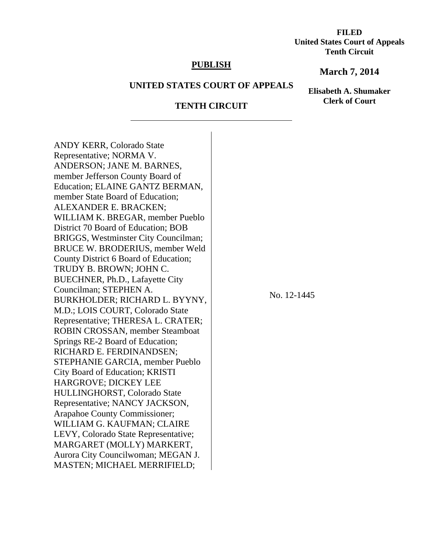**FILED United States Court of Appeals Tenth Circuit** 

## **PUBLISH**

## **March 7, 2014**

# **UNITED STATES COURT OF APPEALS**

**Elisabeth A. Shumaker Clerk of Court**

# **TENTH CIRCUIT**

ANDY KERR, Colorado State Representative; NORMA V. ANDERSON; JANE M. BARNES, member Jefferson County Board of Education; ELAINE GANTZ BERMAN, member State Board of Education; ALEXANDER E. BRACKEN; WILLIAM K. BREGAR, member Pueblo District 70 Board of Education; BOB BRIGGS, Westminster City Councilman; BRUCE W. BRODERIUS, member Weld County District 6 Board of Education; TRUDY B. BROWN; JOHN C. BUECHNER, Ph.D., Lafayette City Councilman; STEPHEN A. BURKHOLDER; RICHARD L. BYYNY, M.D.; LOIS COURT, Colorado State Representative; THERESA L. CRATER; ROBIN CROSSAN, member Steamboat Springs RE-2 Board of Education; RICHARD E. FERDINANDSEN; STEPHANIE GARCIA, member Pueblo City Board of Education; KRISTI HARGROVE; DICKEY LEE HULLINGHORST, Colorado State Representative; NANCY JACKSON, Arapahoe County Commissioner; WILLIAM G. KAUFMAN; CLAIRE LEVY, Colorado State Representative; MARGARET (MOLLY) MARKERT, Aurora City Councilwoman; MEGAN J. MASTEN; MICHAEL MERRIFIELD;

 $\overline{a}$ 

No. 12-1445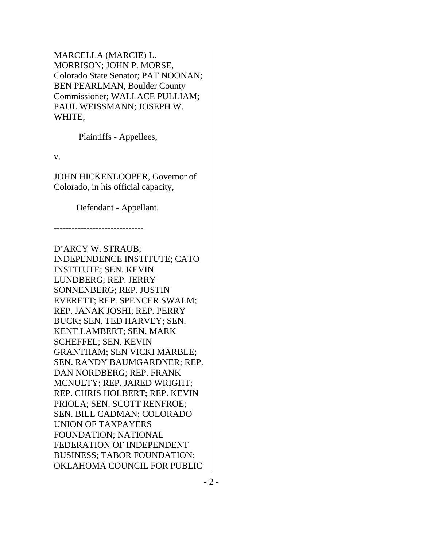MARCELLA (MARCIE) L. MORRISON; JOHN P. MORSE, Colorado State Senator; PAT NOONAN; BEN PEARLMAN, Boulder County Commissioner; WALLACE PULLIAM; PAUL WEISSMANN; JOSEPH W. WHITE,

Plaintiffs - Appellees,

v.

JOHN HICKENLOOPER, Governor of Colorado, in his official capacity,

Defendant - Appellant.

------------------------------

D'ARCY W. STRAUB; INDEPENDENCE INSTITUTE; CATO INSTITUTE; SEN. KEVIN LUNDBERG; REP. JERRY SONNENBERG; REP. JUSTIN EVERETT; REP. SPENCER SWALM; REP. JANAK JOSHI; REP. PERRY BUCK; SEN. TED HARVEY; SEN. KENT LAMBERT; SEN. MARK SCHEFFEL; SEN. KEVIN GRANTHAM; SEN VICKI MARBLE; SEN. RANDY BAUMGARDNER; REP. DAN NORDBERG; REP. FRANK MCNULTY; REP. JARED WRIGHT; REP. CHRIS HOLBERT; REP. KEVIN PRIOLA; SEN. SCOTT RENFROE; SEN. BILL CADMAN; COLORADO UNION OF TAXPAYERS FOUNDATION; NATIONAL FEDERATION OF INDEPENDENT BUSINESS; TABOR FOUNDATION; OKLAHOMA COUNCIL FOR PUBLIC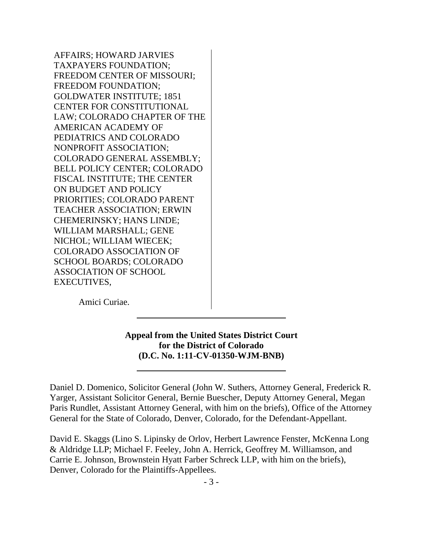AFFAIRS; HOWARD JARVIES TAXPAYERS FOUNDATION; FREEDOM CENTER OF MISSOURI; FREEDOM FOUNDATION; GOLDWATER INSTITUTE; 1851 CENTER FOR CONSTITUTIONAL LAW; COLORADO CHAPTER OF THE AMERICAN ACADEMY OF PEDIATRICS AND COLORADO NONPROFIT ASSOCIATION; COLORADO GENERAL ASSEMBLY; BELL POLICY CENTER; COLORADO FISCAL INSTITUTE; THE CENTER ON BUDGET AND POLICY PRIORITIES; COLORADO PARENT TEACHER ASSOCIATION; ERWIN CHEMERINSKY; HANS LINDE; WILLIAM MARSHALL; GENE NICHOL; WILLIAM WIECEK; COLORADO ASSOCIATION OF SCHOOL BOARDS; COLORADO ASSOCIATION OF SCHOOL EXECUTIVES,

Amici Curiae.

 $\overline{a}$ 

# **Appeal from the United States District Court for the District of Colorado (D.C. No. 1:11-CV-01350-WJM-BNB)**

Daniel D. Domenico, Solicitor General (John W. Suthers, Attorney General, Frederick R. Yarger, Assistant Solicitor General, Bernie Buescher, Deputy Attorney General, Megan Paris Rundlet, Assistant Attorney General, with him on the briefs), Office of the Attorney General for the State of Colorado, Denver, Colorado, for the Defendant-Appellant.

David E. Skaggs (Lino S. Lipinsky de Orlov, Herbert Lawrence Fenster, McKenna Long & Aldridge LLP; Michael F. Feeley, John A. Herrick, Geoffrey M. Williamson, and Carrie E. Johnson, Brownstein Hyatt Farber Schreck LLP, with him on the briefs), Denver, Colorado for the Plaintiffs-Appellees.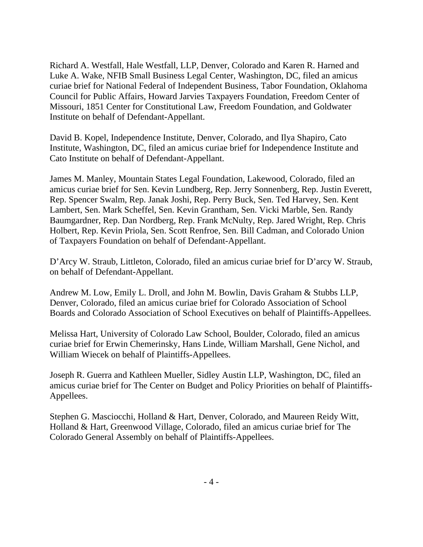Richard A. Westfall, Hale Westfall, LLP, Denver, Colorado and Karen R. Harned and Luke A. Wake, NFIB Small Business Legal Center, Washington, DC, filed an amicus curiae brief for National Federal of Independent Business, Tabor Foundation, Oklahoma Council for Public Affairs, Howard Jarvies Taxpayers Foundation, Freedom Center of Missouri, 1851 Center for Constitutional Law, Freedom Foundation, and Goldwater Institute on behalf of Defendant-Appellant.

David B. Kopel, Independence Institute, Denver, Colorado, and Ilya Shapiro, Cato Institute, Washington, DC, filed an amicus curiae brief for Independence Institute and Cato Institute on behalf of Defendant-Appellant.

James M. Manley, Mountain States Legal Foundation, Lakewood, Colorado, filed an amicus curiae brief for Sen. Kevin Lundberg, Rep. Jerry Sonnenberg, Rep. Justin Everett, Rep. Spencer Swalm, Rep. Janak Joshi, Rep. Perry Buck, Sen. Ted Harvey, Sen. Kent Lambert, Sen. Mark Scheffel, Sen. Kevin Grantham, Sen. Vicki Marble, Sen. Randy Baumgardner, Rep. Dan Nordberg, Rep. Frank McNulty, Rep. Jared Wright, Rep. Chris Holbert, Rep. Kevin Priola, Sen. Scott Renfroe, Sen. Bill Cadman, and Colorado Union of Taxpayers Foundation on behalf of Defendant-Appellant.

D'Arcy W. Straub, Littleton, Colorado, filed an amicus curiae brief for D'arcy W. Straub, on behalf of Defendant-Appellant.

Andrew M. Low, Emily L. Droll, and John M. Bowlin, Davis Graham & Stubbs LLP, Denver, Colorado, filed an amicus curiae brief for Colorado Association of School Boards and Colorado Association of School Executives on behalf of Plaintiffs-Appellees.

Melissa Hart, University of Colorado Law School, Boulder, Colorado, filed an amicus curiae brief for Erwin Chemerinsky, Hans Linde, William Marshall, Gene Nichol, and William Wiecek on behalf of Plaintiffs-Appellees.

Joseph R. Guerra and Kathleen Mueller, Sidley Austin LLP, Washington, DC, filed an amicus curiae brief for The Center on Budget and Policy Priorities on behalf of Plaintiffs-Appellees.

Stephen G. Masciocchi, Holland & Hart, Denver, Colorado, and Maureen Reidy Witt, Holland & Hart, Greenwood Village, Colorado, filed an amicus curiae brief for The Colorado General Assembly on behalf of Plaintiffs-Appellees.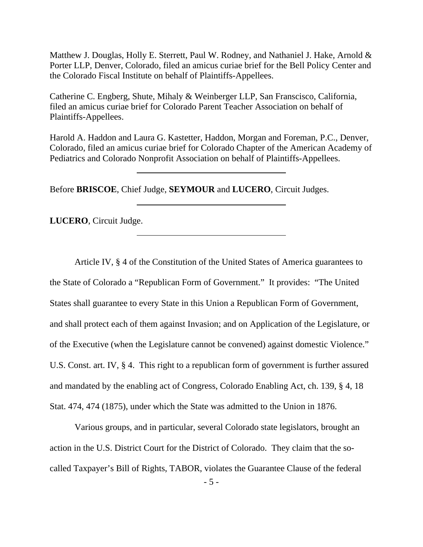Matthew J. Douglas, Holly E. Sterrett, Paul W. Rodney, and Nathaniel J. Hake, Arnold & Porter LLP, Denver, Colorado, filed an amicus curiae brief for the Bell Policy Center and the Colorado Fiscal Institute on behalf of Plaintiffs-Appellees.

Catherine C. Engberg, Shute, Mihaly & Weinberger LLP, San Franscisco, California, filed an amicus curiae brief for Colorado Parent Teacher Association on behalf of Plaintiffs-Appellees.

Harold A. Haddon and Laura G. Kastetter, Haddon, Morgan and Foreman, P.C., Denver, Colorado, filed an amicus curiae brief for Colorado Chapter of the American Academy of Pediatrics and Colorado Nonprofit Association on behalf of Plaintiffs-Appellees.

Before **BRISCOE**, Chief Judge, **SEYMOUR** and **LUCERO**, Circuit Judges.

**LUCERO**, Circuit Judge.

 $\overline{a}$ 

 $\overline{a}$ 

Article IV, § 4 of the Constitution of the United States of America guarantees to the State of Colorado a "Republican Form of Government." It provides: "The United States shall guarantee to every State in this Union a Republican Form of Government, and shall protect each of them against Invasion; and on Application of the Legislature, or of the Executive (when the Legislature cannot be convened) against domestic Violence." U.S. Const. art. IV, § 4. This right to a republican form of government is further assured and mandated by the enabling act of Congress, Colorado Enabling Act, ch. 139, § 4, 18 Stat. 474, 474 (1875), under which the State was admitted to the Union in 1876.

 Various groups, and in particular, several Colorado state legislators, brought an action in the U.S. District Court for the District of Colorado. They claim that the socalled Taxpayer's Bill of Rights, TABOR, violates the Guarantee Clause of the federal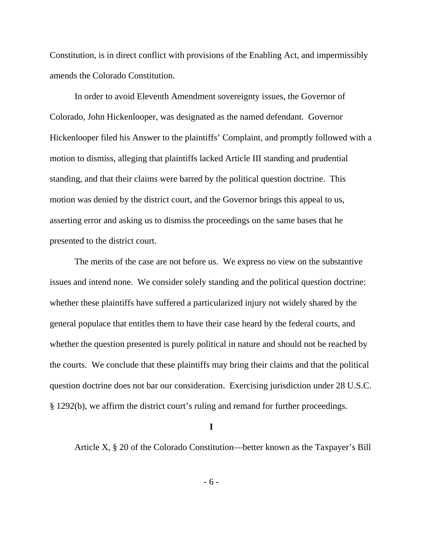Constitution, is in direct conflict with provisions of the Enabling Act, and impermissibly amends the Colorado Constitution.

 In order to avoid Eleventh Amendment sovereignty issues, the Governor of Colorado, John Hickenlooper, was designated as the named defendant. Governor Hickenlooper filed his Answer to the plaintiffs' Complaint, and promptly followed with a motion to dismiss, alleging that plaintiffs lacked Article III standing and prudential standing, and that their claims were barred by the political question doctrine. This motion was denied by the district court, and the Governor brings this appeal to us, asserting error and asking us to dismiss the proceedings on the same bases that he presented to the district court.

 The merits of the case are not before us. We express no view on the substantive issues and intend none. We consider solely standing and the political question doctrine: whether these plaintiffs have suffered a particularized injury not widely shared by the general populace that entitles them to have their case heard by the federal courts, and whether the question presented is purely political in nature and should not be reached by the courts. We conclude that these plaintiffs may bring their claims and that the political question doctrine does not bar our consideration. Exercising jurisdiction under 28 U.S.C. § 1292(b), we affirm the district court's ruling and remand for further proceedings.

**I** 

Article X, § 20 of the Colorado Constitution—better known as the Taxpayer's Bill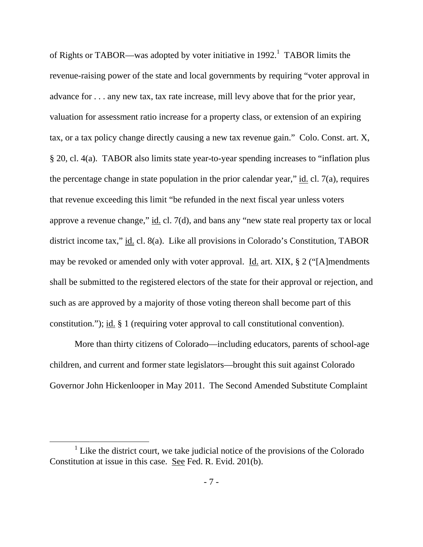of Rights or TABOR—was adopted by voter initiative in 1992.<sup>1</sup> TABOR limits the revenue-raising power of the state and local governments by requiring "voter approval in advance for . . . any new tax, tax rate increase, mill levy above that for the prior year, valuation for assessment ratio increase for a property class, or extension of an expiring tax, or a tax policy change directly causing a new tax revenue gain." Colo. Const. art. X, § 20, cl. 4(a). TABOR also limits state year-to-year spending increases to "inflation plus the percentage change in state population in the prior calendar year," id. cl. 7(a), requires that revenue exceeding this limit "be refunded in the next fiscal year unless voters approve a revenue change," id. cl. 7(d), and bans any "new state real property tax or local district income tax," id. cl. 8(a). Like all provisions in Colorado's Constitution, TABOR may be revoked or amended only with voter approval. Id. art. XIX,  $\S 2$  ("[A]mendments shall be submitted to the registered electors of the state for their approval or rejection, and such as are approved by a majority of those voting thereon shall become part of this constitution."); id. § 1 (requiring voter approval to call constitutional convention).

 More than thirty citizens of Colorado—including educators, parents of school-age children, and current and former state legislators—brought this suit against Colorado Governor John Hickenlooper in May 2011. The Second Amended Substitute Complaint

<sup>&</sup>lt;u>1</u>  $1$  Like the district court, we take judicial notice of the provisions of the Colorado Constitution at issue in this case. See Fed. R. Evid. 201(b).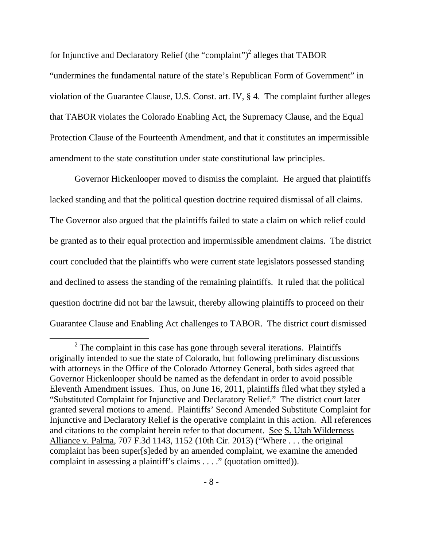for Injunctive and Declaratory Relief (the "complaint")<sup>2</sup> alleges that TABOR

"undermines the fundamental nature of the state's Republican Form of Government" in violation of the Guarantee Clause, U.S. Const. art. IV, § 4. The complaint further alleges that TABOR violates the Colorado Enabling Act, the Supremacy Clause, and the Equal Protection Clause of the Fourteenth Amendment, and that it constitutes an impermissible amendment to the state constitution under state constitutional law principles.

 Governor Hickenlooper moved to dismiss the complaint. He argued that plaintiffs lacked standing and that the political question doctrine required dismissal of all claims. The Governor also argued that the plaintiffs failed to state a claim on which relief could be granted as to their equal protection and impermissible amendment claims. The district court concluded that the plaintiffs who were current state legislators possessed standing and declined to assess the standing of the remaining plaintiffs. It ruled that the political question doctrine did not bar the lawsuit, thereby allowing plaintiffs to proceed on their Guarantee Clause and Enabling Act challenges to TABOR. The district court dismissed

 $\overline{\ }$  2  $2$  The complaint in this case has gone through several iterations. Plaintiffs originally intended to sue the state of Colorado, but following preliminary discussions with attorneys in the Office of the Colorado Attorney General, both sides agreed that Governor Hickenlooper should be named as the defendant in order to avoid possible Eleventh Amendment issues. Thus, on June 16, 2011, plaintiffs filed what they styled a "Substituted Complaint for Injunctive and Declaratory Relief." The district court later granted several motions to amend. Plaintiffs' Second Amended Substitute Complaint for Injunctive and Declaratory Relief is the operative complaint in this action.All references and citations to the complaint herein refer to that document. See S. Utah Wilderness Alliance v. Palma, 707 F.3d 1143, 1152 (10th Cir. 2013) ("Where . . . the original complaint has been super[s]eded by an amended complaint, we examine the amended complaint in assessing a plaintiff's claims . . . ." (quotation omitted)).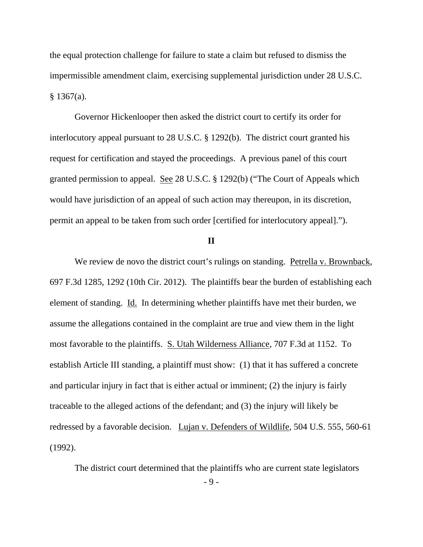the equal protection challenge for failure to state a claim but refused to dismiss the impermissible amendment claim, exercising supplemental jurisdiction under 28 U.S.C. § 1367(a).

 Governor Hickenlooper then asked the district court to certify its order for interlocutory appeal pursuant to 28 U.S.C. § 1292(b). The district court granted his request for certification and stayed the proceedings. A previous panel of this court granted permission to appeal. See 28 U.S.C. § 1292(b) ("The Court of Appeals which would have jurisdiction of an appeal of such action may thereupon, in its discretion, permit an appeal to be taken from such order [certified for interlocutory appeal].").

## **II**

We review de novo the district court's rulings on standing. Petrella v. Brownback, 697 F.3d 1285, 1292 (10th Cir. 2012). The plaintiffs bear the burden of establishing each element of standing. Id. In determining whether plaintiffs have met their burden, we assume the allegations contained in the complaint are true and view them in the light most favorable to the plaintiffs. S. Utah Wilderness Alliance, 707 F.3d at 1152. To establish Article III standing, a plaintiff must show: (1) that it has suffered a concrete and particular injury in fact that is either actual or imminent; (2) the injury is fairly traceable to the alleged actions of the defendant; and (3) the injury will likely be redressed by a favorable decision. Lujan v. Defenders of Wildlife, 504 U.S. 555, 560-61 (1992).

The district court determined that the plaintiffs who are current state legislators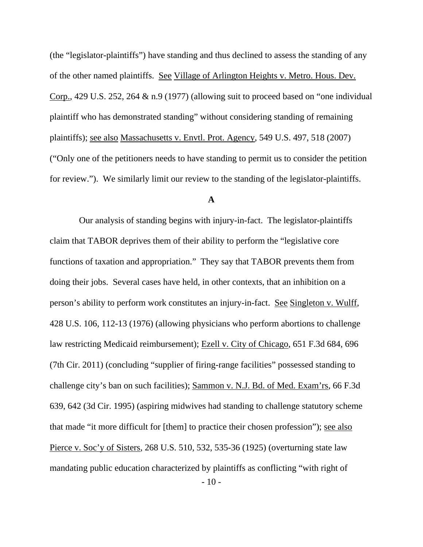(the "legislator-plaintiffs") have standing and thus declined to assess the standing of any of the other named plaintiffs. See Village of Arlington Heights v. Metro. Hous. Dev. Corp., 429 U.S. 252, 264 & n.9 (1977) (allowing suit to proceed based on "one individual plaintiff who has demonstrated standing" without considering standing of remaining plaintiffs); see also Massachusetts v. Envtl. Prot. Agency, 549 U.S. 497, 518 (2007) ("Only one of the petitioners needs to have standing to permit us to consider the petition for review."). We similarly limit our review to the standing of the legislator-plaintiffs.

## **A**

 $-10-$  Our analysis of standing begins with injury-in-fact. The legislator-plaintiffs claim that TABOR deprives them of their ability to perform the "legislative core functions of taxation and appropriation." They say that TABOR prevents them from doing their jobs. Several cases have held, in other contexts, that an inhibition on a person's ability to perform work constitutes an injury-in-fact. See Singleton v. Wulff, 428 U.S. 106, 112-13 (1976) (allowing physicians who perform abortions to challenge law restricting Medicaid reimbursement); Ezell v. City of Chicago, 651 F.3d 684, 696 (7th Cir. 2011) (concluding "supplier of firing-range facilities" possessed standing to challenge city's ban on such facilities); Sammon v. N.J. Bd. of Med. Exam'rs, 66 F.3d 639, 642 (3d Cir. 1995) (aspiring midwives had standing to challenge statutory scheme that made "it more difficult for [them] to practice their chosen profession"); see also Pierce v. Soc'y of Sisters, 268 U.S. 510, 532, 535-36 (1925) (overturning state law mandating public education characterized by plaintiffs as conflicting "with right of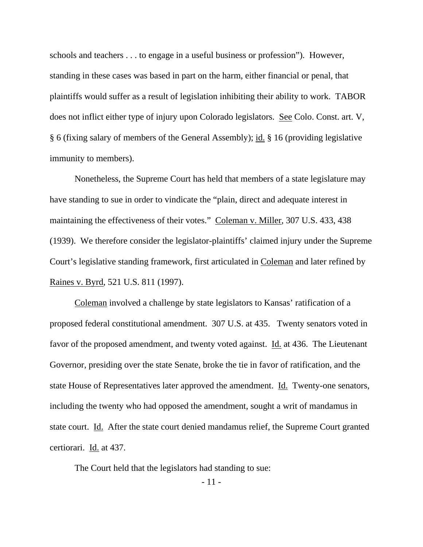schools and teachers . . . to engage in a useful business or profession"). However, standing in these cases was based in part on the harm, either financial or penal, that plaintiffs would suffer as a result of legislation inhibiting their ability to work. TABOR does not inflict either type of injury upon Colorado legislators. See Colo. Const. art. V, § 6 (fixing salary of members of the General Assembly); id. § 16 (providing legislative immunity to members).

 Nonetheless, the Supreme Court has held that members of a state legislature may have standing to sue in order to vindicate the "plain, direct and adequate interest in maintaining the effectiveness of their votes." Coleman v. Miller, 307 U.S. 433, 438 (1939). We therefore consider the legislator-plaintiffs' claimed injury under the Supreme Court's legislative standing framework, first articulated in Coleman and later refined by Raines v. Byrd, 521 U.S. 811 (1997).

 Coleman involved a challenge by state legislators to Kansas' ratification of a proposed federal constitutional amendment. 307 U.S. at 435. Twenty senators voted in favor of the proposed amendment, and twenty voted against. Id. at 436. The Lieutenant Governor, presiding over the state Senate, broke the tie in favor of ratification, and the state House of Representatives later approved the amendment. Id. Twenty-one senators, including the twenty who had opposed the amendment, sought a writ of mandamus in state court. Id. After the state court denied mandamus relief, the Supreme Court granted certiorari. Id. at 437.

The Court held that the legislators had standing to sue: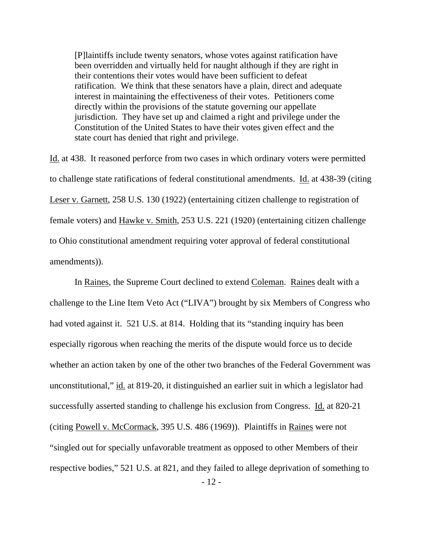[P]laintiffs include twenty senators, whose votes against ratification have been overridden and virtually held for naught although if they are right in their contentions their votes would have been sufficient to defeat ratification. We think that these senators have a plain, direct and adequate interest in maintaining the effectiveness of their votes. Petitioners come directly within the provisions of the statute governing our appellate jurisdiction. They have set up and claimed a right and privilege under the Constitution of the United States to have their votes given effect and the state court has denied that right and privilege.

Id. at 438. It reasoned perforce from two cases in which ordinary voters were permitted to challenge state ratifications of federal constitutional amendments. Id. at 438-39 (citing Leser v. Garnett, 258 U.S. 130 (1922) (entertaining citizen challenge to registration of female voters) and Hawke v. Smith, 253 U.S. 221 (1920) (entertaining citizen challenge to Ohio constitutional amendment requiring voter approval of federal constitutional amendments)).

 In Raines, the Supreme Court declined to extend Coleman. Raines dealt with a challenge to the Line Item Veto Act ("LIVA") brought by six Members of Congress who had voted against it. 521 U.S. at 814. Holding that its "standing inquiry has been especially rigorous when reaching the merits of the dispute would force us to decide whether an action taken by one of the other two branches of the Federal Government was unconstitutional," id. at 819-20, it distinguished an earlier suit in which a legislator had successfully asserted standing to challenge his exclusion from Congress. Id. at 820-21 (citing Powell v. McCormack, 395 U.S. 486 (1969)). Plaintiffs in Raines were not "singled out for specially unfavorable treatment as opposed to other Members of their respective bodies," 521 U.S. at 821, and they failed to allege deprivation of something to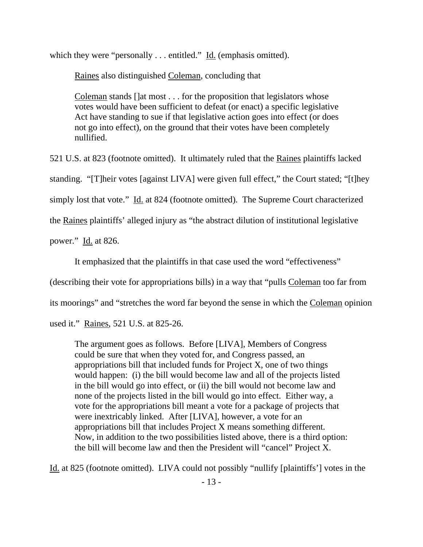which they were "personally . . . entitled." Id. (emphasis omitted).

Raines also distinguished Coleman, concluding that

Coleman stands []at most . . . for the proposition that legislators whose votes would have been sufficient to defeat (or enact) a specific legislative Act have standing to sue if that legislative action goes into effect (or does not go into effect), on the ground that their votes have been completely nullified.

521 U.S. at 823 (footnote omitted). It ultimately ruled that the Raines plaintiffs lacked standing. "[T]heir votes [against LIVA] were given full effect," the Court stated; "[t]hey

simply lost that vote." Id. at 824 (footnote omitted). The Supreme Court characterized

the Raines plaintiffs' alleged injury as "the abstract dilution of institutional legislative

power." Id. at 826.

It emphasized that the plaintiffs in that case used the word "effectiveness"

(describing their vote for appropriations bills) in a way that "pulls Coleman too far from

its moorings" and "stretches the word far beyond the sense in which the Coleman opinion

used it." Raines, 521 U.S. at 825-26.

The argument goes as follows. Before [LIVA], Members of Congress could be sure that when they voted for, and Congress passed, an appropriations bill that included funds for Project X, one of two things would happen: (i) the bill would become law and all of the projects listed in the bill would go into effect, or (ii) the bill would not become law and none of the projects listed in the bill would go into effect. Either way, a vote for the appropriations bill meant a vote for a package of projects that were inextricably linked. After [LIVA], however, a vote for an appropriations bill that includes Project X means something different. Now, in addition to the two possibilities listed above, there is a third option: the bill will become law and then the President will "cancel" Project X.

Id. at 825 (footnote omitted). LIVA could not possibly "nullify [plaintiffs'] votes in the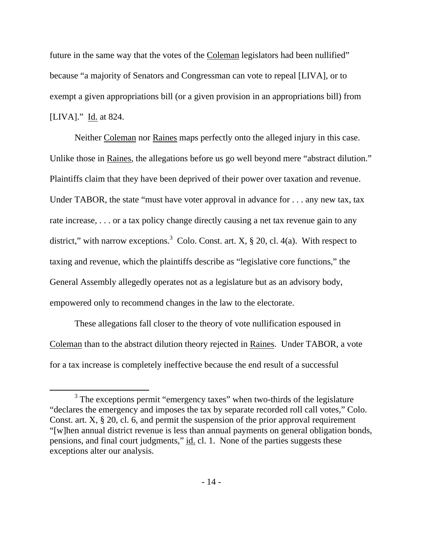future in the same way that the votes of the Coleman legislators had been nullified" because "a majority of Senators and Congressman can vote to repeal [LIVA], or to exempt a given appropriations bill (or a given provision in an appropriations bill) from [LIVA]." Id. at 824.

 Neither Coleman nor Raines maps perfectly onto the alleged injury in this case. Unlike those in Raines, the allegations before us go well beyond mere "abstract dilution." Plaintiffs claim that they have been deprived of their power over taxation and revenue. Under TABOR, the state "must have voter approval in advance for . . . any new tax, tax rate increase, . . . or a tax policy change directly causing a net tax revenue gain to any district," with narrow exceptions.<sup>3</sup> Colo. Const. art. X,  $\S 20$ , cl. 4(a). With respect to taxing and revenue, which the plaintiffs describe as "legislative core functions," the General Assembly allegedly operates not as a legislature but as an advisory body, empowered only to recommend changes in the law to the electorate.

 These allegations fall closer to the theory of vote nullification espoused in Coleman than to the abstract dilution theory rejected in Raines. Under TABOR, a vote for a tax increase is completely ineffective because the end result of a successful

 <sup>3</sup>  $3$  The exceptions permit "emergency taxes" when two-thirds of the legislature "declares the emergency and imposes the tax by separate recorded roll call votes," Colo. Const. art. X, § 20, cl. 6, and permit the suspension of the prior approval requirement "[w]hen annual district revenue is less than annual payments on general obligation bonds, pensions, and final court judgments," id. cl. 1. None of the parties suggests these exceptions alter our analysis.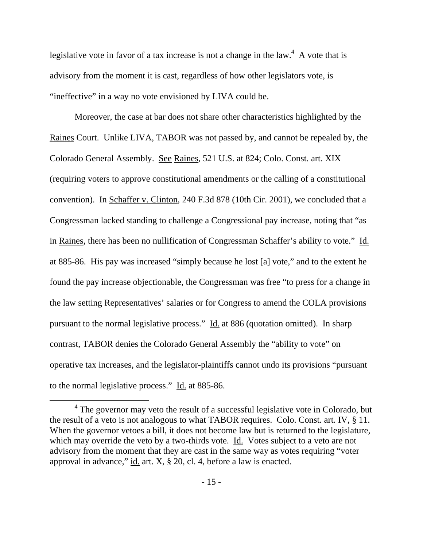legislative vote in favor of a tax increase is not a change in the law.<sup>4</sup> A vote that is advisory from the moment it is cast, regardless of how other legislators vote, is "ineffective" in a way no vote envisioned by LIVA could be.

 Moreover, the case at bar does not share other characteristics highlighted by the Raines Court. Unlike LIVA, TABOR was not passed by, and cannot be repealed by, the Colorado General Assembly. See Raines, 521 U.S. at 824; Colo. Const. art. XIX (requiring voters to approve constitutional amendments or the calling of a constitutional convention). In Schaffer v. Clinton, 240 F.3d 878 (10th Cir. 2001), we concluded that a Congressman lacked standing to challenge a Congressional pay increase, noting that "as in Raines, there has been no nullification of Congressman Schaffer's ability to vote." Id. at 885-86. His pay was increased "simply because he lost [a] vote," and to the extent he found the pay increase objectionable, the Congressman was free "to press for a change in the law setting Representatives' salaries or for Congress to amend the COLA provisions pursuant to the normal legislative process." Id. at 886 (quotation omitted). In sharp contrast, TABOR denies the Colorado General Assembly the "ability to vote" on operative tax increases, and the legislator-plaintiffs cannot undo its provisions "pursuant to the normal legislative process." Id. at 885-86.

 $\overline{4}$ <sup>4</sup> The governor may veto the result of a successful legislative vote in Colorado, but the result of a veto is not analogous to what TABOR requires. Colo. Const. art. IV, § 11. When the governor vetoes a bill, it does not become law but is returned to the legislature, which may override the veto by a two-thirds vote. Id. Votes subject to a veto are not advisory from the moment that they are cast in the same way as votes requiring "voter approval in advance," id. art. X, § 20, cl. 4, before a law is enacted.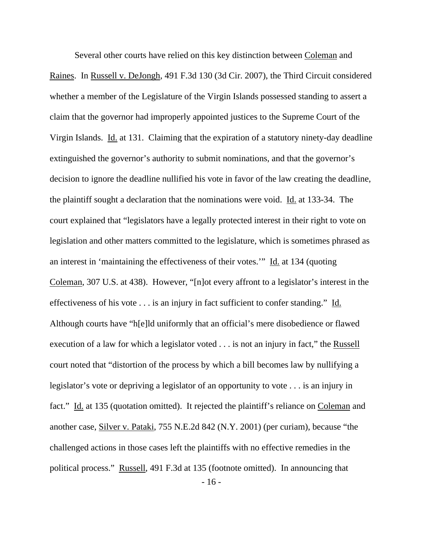- 16 - Several other courts have relied on this key distinction between Coleman and Raines. In Russell v. DeJongh, 491 F.3d 130 (3d Cir. 2007), the Third Circuit considered whether a member of the Legislature of the Virgin Islands possessed standing to assert a claim that the governor had improperly appointed justices to the Supreme Court of the Virgin Islands. Id. at 131. Claiming that the expiration of a statutory ninety-day deadline extinguished the governor's authority to submit nominations, and that the governor's decision to ignore the deadline nullified his vote in favor of the law creating the deadline, the plaintiff sought a declaration that the nominations were void. Id. at 133-34. The court explained that "legislators have a legally protected interest in their right to vote on legislation and other matters committed to the legislature, which is sometimes phrased as an interest in 'maintaining the effectiveness of their votes.'" Id. at 134 (quoting Coleman, 307 U.S. at 438). However, "[n]ot every affront to a legislator's interest in the effectiveness of his vote . . . is an injury in fact sufficient to confer standing." Id. Although courts have "h[e]ld uniformly that an official's mere disobedience or flawed execution of a law for which a legislator voted . . . is not an injury in fact," the Russell court noted that "distortion of the process by which a bill becomes law by nullifying a legislator's vote or depriving a legislator of an opportunity to vote . . . is an injury in fact." Id. at 135 (quotation omitted). It rejected the plaintiff's reliance on Coleman and another case, Silver v. Pataki, 755 N.E.2d 842 (N.Y. 2001) (per curiam), because "the challenged actions in those cases left the plaintiffs with no effective remedies in the political process." Russell, 491 F.3d at 135 (footnote omitted). In announcing that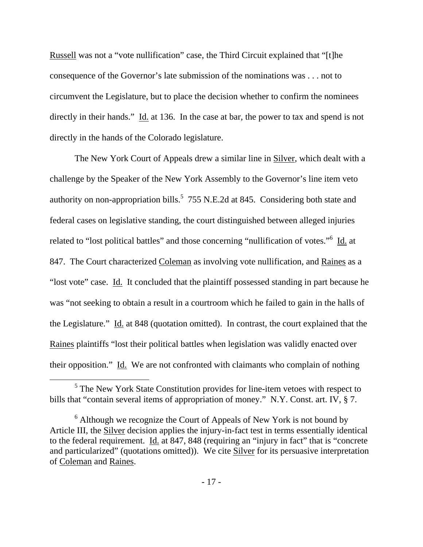Russell was not a "vote nullification" case, the Third Circuit explained that "[t]he consequence of the Governor's late submission of the nominations was . . . not to circumvent the Legislature, but to place the decision whether to confirm the nominees directly in their hands." Id. at 136. In the case at bar, the power to tax and spend is not directly in the hands of the Colorado legislature.

 The New York Court of Appeals drew a similar line in Silver, which dealt with a challenge by the Speaker of the New York Assembly to the Governor's line item veto authority on non-appropriation bills.<sup>5</sup> 755 N.E.2d at 845. Considering both state and federal cases on legislative standing, the court distinguished between alleged injuries related to "lost political battles" and those concerning "nullification of votes."<sup>6</sup> Id. at 847. The Court characterized Coleman as involving vote nullification, and Raines as a "lost vote" case. Id. It concluded that the plaintiff possessed standing in part because he was "not seeking to obtain a result in a courtroom which he failed to gain in the halls of the Legislature." Id. at 848 (quotation omitted). In contrast, the court explained that the Raines plaintiffs "lost their political battles when legislation was validly enacted over their opposition." Id. We are not confronted with claimants who complain of nothing

 $rac{1}{5}$  $<sup>5</sup>$  The New York State Constitution provides for line-item vetoes with respect to</sup> bills that "contain several items of appropriation of money." N.Y. Const. art. IV, § 7.

 $6$  Although we recognize the Court of Appeals of New York is not bound by Article III, the Silver decision applies the injury-in-fact test in terms essentially identical to the federal requirement. Id. at 847, 848 (requiring an "injury in fact" that is "concrete and particularized" (quotations omitted)). We cite Silver for its persuasive interpretation of Coleman and Raines.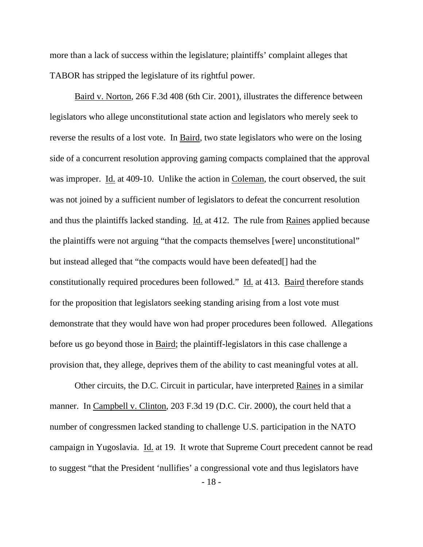more than a lack of success within the legislature; plaintiffs' complaint alleges that TABOR has stripped the legislature of its rightful power.

 Baird v. Norton, 266 F.3d 408 (6th Cir. 2001), illustrates the difference between legislators who allege unconstitutional state action and legislators who merely seek to reverse the results of a lost vote. In Baird, two state legislators who were on the losing side of a concurrent resolution approving gaming compacts complained that the approval was improper. Id. at 409-10. Unlike the action in Coleman, the court observed, the suit was not joined by a sufficient number of legislators to defeat the concurrent resolution and thus the plaintiffs lacked standing. Id. at 412. The rule from Raines applied because the plaintiffs were not arguing "that the compacts themselves [were] unconstitutional" but instead alleged that "the compacts would have been defeated[] had the constitutionally required procedures been followed." Id. at 413. Baird therefore stands for the proposition that legislators seeking standing arising from a lost vote must demonstrate that they would have won had proper procedures been followed. Allegations before us go beyond those in Baird; the plaintiff-legislators in this case challenge a provision that, they allege, deprives them of the ability to cast meaningful votes at all.

 Other circuits, the D.C. Circuit in particular, have interpreted Raines in a similar manner. In Campbell v. Clinton, 203 F.3d 19 (D.C. Cir. 2000), the court held that a number of congressmen lacked standing to challenge U.S. participation in the NATO campaign in Yugoslavia. Id. at 19. It wrote that Supreme Court precedent cannot be read to suggest "that the President 'nullifies' a congressional vote and thus legislators have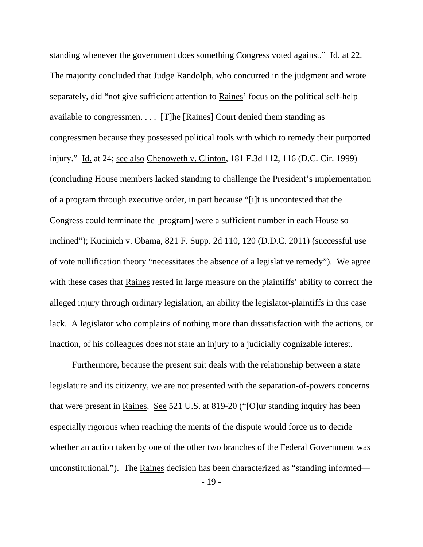standing whenever the government does something Congress voted against." Id. at 22. The majority concluded that Judge Randolph, who concurred in the judgment and wrote separately, did "not give sufficient attention to Raines' focus on the political self-help available to congressmen. . . . [T]he [Raines] Court denied them standing as congressmen because they possessed political tools with which to remedy their purported injury." Id. at 24; see also Chenoweth v. Clinton, 181 F.3d 112, 116 (D.C. Cir. 1999) (concluding House members lacked standing to challenge the President's implementation of a program through executive order, in part because "[i]t is uncontested that the Congress could terminate the [program] were a sufficient number in each House so inclined"); Kucinich v. Obama, 821 F. Supp. 2d 110, 120 (D.D.C. 2011) (successful use of vote nullification theory "necessitates the absence of a legislative remedy"). We agree with these cases that Raines rested in large measure on the plaintiffs' ability to correct the alleged injury through ordinary legislation, an ability the legislator-plaintiffs in this case lack. A legislator who complains of nothing more than dissatisfaction with the actions, or inaction, of his colleagues does not state an injury to a judicially cognizable interest.

 Furthermore, because the present suit deals with the relationship between a state legislature and its citizenry, we are not presented with the separation-of-powers concerns that were present in Raines. See 521 U.S. at 819-20 ("[O]ur standing inquiry has been especially rigorous when reaching the merits of the dispute would force us to decide whether an action taken by one of the other two branches of the Federal Government was unconstitutional."). The Raines decision has been characterized as "standing informed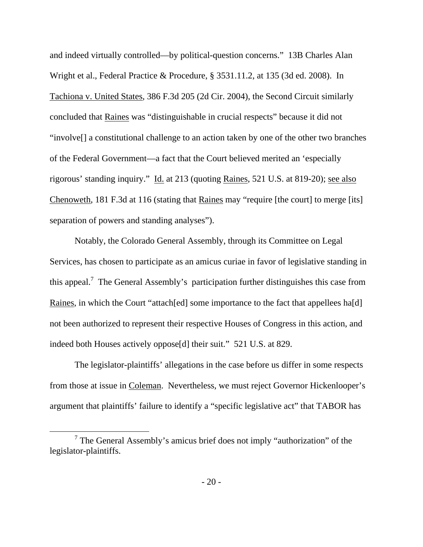and indeed virtually controlled—by political-question concerns." 13B Charles Alan Wright et al., Federal Practice & Procedure, § 3531.11.2, at 135 (3d ed. 2008). In Tachiona v. United States, 386 F.3d 205 (2d Cir. 2004), the Second Circuit similarly concluded that Raines was "distinguishable in crucial respects" because it did not "involve[] a constitutional challenge to an action taken by one of the other two branches of the Federal Government—a fact that the Court believed merited an 'especially rigorous' standing inquiry." Id. at 213 (quoting Raines, 521 U.S. at 819-20); see also Chenoweth, 181 F.3d at 116 (stating that Raines may "require [the court] to merge [its] separation of powers and standing analyses").

 Notably, the Colorado General Assembly, through its Committee on Legal Services, has chosen to participate as an amicus curiae in favor of legislative standing in this appeal.<sup>7</sup> The General Assembly's participation further distinguishes this case from Raines, in which the Court "attach[ed] some importance to the fact that appellees ha[d] not been authorized to represent their respective Houses of Congress in this action, and indeed both Houses actively oppose[d] their suit." 521 U.S. at 829.

 The legislator-plaintiffs' allegations in the case before us differ in some respects from those at issue in Coleman. Nevertheless, we must reject Governor Hickenlooper's argument that plaintiffs' failure to identify a "specific legislative act" that TABOR has

 $\overline{7}$  $<sup>7</sup>$  The General Assembly's amicus brief does not imply "authorization" of the</sup> legislator-plaintiffs.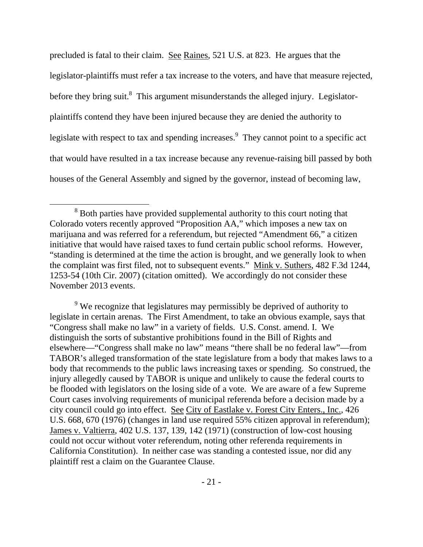precluded is fatal to their claim. See Raines, 521 U.S. at 823. He argues that the legislator-plaintiffs must refer a tax increase to the voters, and have that measure rejected, before they bring suit.<sup>8</sup> This argument misunderstands the alleged injury. Legislatorplaintiffs contend they have been injured because they are denied the authority to legislate with respect to tax and spending increases. They cannot point to a specific act that would have resulted in a tax increase because any revenue-raising bill passed by both houses of the General Assembly and signed by the governor, instead of becoming law,

<sup>9</sup> We recognize that legislatures may permissibly be deprived of authority to legislate in certain arenas. The First Amendment, to take an obvious example, says that "Congress shall make no law" in a variety of fields. U.S. Const. amend. I. We distinguish the sorts of substantive prohibitions found in the Bill of Rights and elsewhere—"Congress shall make no law" means "there shall be no federal law"—from TABOR's alleged transformation of the state legislature from a body that makes laws to a body that recommends to the public laws increasing taxes or spending. So construed, the injury allegedly caused by TABOR is unique and unlikely to cause the federal courts to be flooded with legislators on the losing side of a vote. We are aware of a few Supreme Court cases involving requirements of municipal referenda before a decision made by a city council could go into effect. See City of Eastlake v. Forest City Enters., Inc., 426 U.S. 668, 670 (1976) (changes in land use required 55% citizen approval in referendum); James v. Valtierra, 402 U.S. 137, 139, 142 (1971) (construction of low-cost housing could not occur without voter referendum, noting other referenda requirements in California Constitution). In neither case was standing a contested issue, nor did any plaintiff rest a claim on the Guarantee Clause.

 <sup>8</sup>  $8$  Both parties have provided supplemental authority to this court noting that Colorado voters recently approved "Proposition AA," which imposes a new tax on marijuana and was referred for a referendum, but rejected "Amendment 66," a citizen initiative that would have raised taxes to fund certain public school reforms. However, "standing is determined at the time the action is brought, and we generally look to when the complaint was first filed, not to subsequent events." Mink v. Suthers, 482 F.3d 1244, 1253-54 (10th Cir. 2007) (citation omitted). We accordingly do not consider these November 2013 events.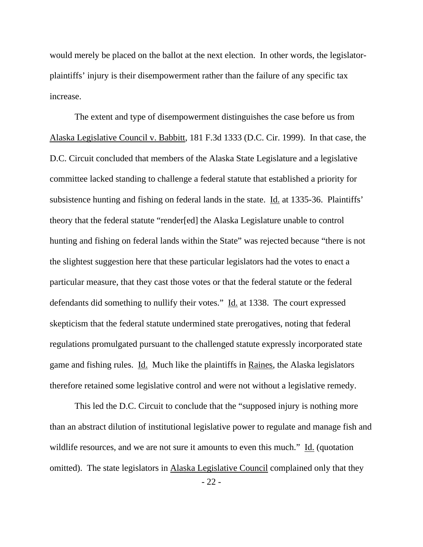would merely be placed on the ballot at the next election. In other words, the legislatorplaintiffs' injury is their disempowerment rather than the failure of any specific tax increase.

 The extent and type of disempowerment distinguishes the case before us from Alaska Legislative Council v. Babbitt, 181 F.3d 1333 (D.C. Cir. 1999). In that case, the D.C. Circuit concluded that members of the Alaska State Legislature and a legislative committee lacked standing to challenge a federal statute that established a priority for subsistence hunting and fishing on federal lands in the state. Id. at 1335-36. Plaintiffs' theory that the federal statute "render[ed] the Alaska Legislature unable to control hunting and fishing on federal lands within the State" was rejected because "there is not the slightest suggestion here that these particular legislators had the votes to enact a particular measure, that they cast those votes or that the federal statute or the federal defendants did something to nullify their votes." Id. at 1338. The court expressed skepticism that the federal statute undermined state prerogatives, noting that federal regulations promulgated pursuant to the challenged statute expressly incorporated state game and fishing rules. Id. Much like the plaintiffs in Raines, the Alaska legislators therefore retained some legislative control and were not without a legislative remedy.

This led the D.C. Circuit to conclude that the "supposed injury is nothing more than an abstract dilution of institutional legislative power to regulate and manage fish and wildlife resources, and we are not sure it amounts to even this much." Id. (quotation omitted). The state legislators in Alaska Legislative Council complained only that they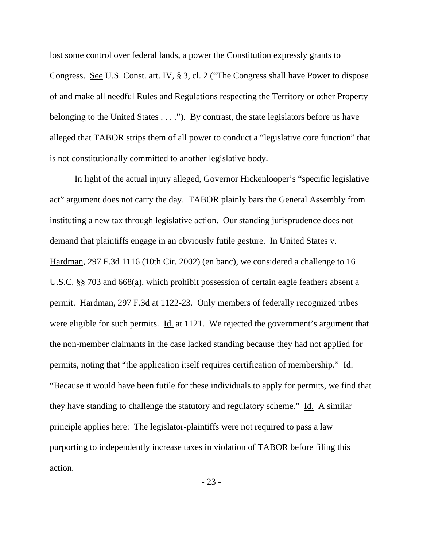lost some control over federal lands, a power the Constitution expressly grants to Congress. See U.S. Const. art. IV, § 3, cl. 2 ("The Congress shall have Power to dispose of and make all needful Rules and Regulations respecting the Territory or other Property belonging to the United States . . . ."). By contrast, the state legislators before us have alleged that TABOR strips them of all power to conduct a "legislative core function" that is not constitutionally committed to another legislative body.

 In light of the actual injury alleged, Governor Hickenlooper's "specific legislative act" argument does not carry the day. TABOR plainly bars the General Assembly from instituting a new tax through legislative action. Our standing jurisprudence does not demand that plaintiffs engage in an obviously futile gesture. In United States v. Hardman, 297 F.3d 1116 (10th Cir. 2002) (en banc), we considered a challenge to 16 U.S.C. §§ 703 and 668(a), which prohibit possession of certain eagle feathers absent a permit. Hardman, 297 F.3d at 1122-23. Only members of federally recognized tribes were eligible for such permits. Id. at 1121. We rejected the government's argument that the non-member claimants in the case lacked standing because they had not applied for permits, noting that "the application itself requires certification of membership." Id. "Because it would have been futile for these individuals to apply for permits, we find that they have standing to challenge the statutory and regulatory scheme." Id. A similar principle applies here: The legislator-plaintiffs were not required to pass a law purporting to independently increase taxes in violation of TABOR before filing this action.

- 23 -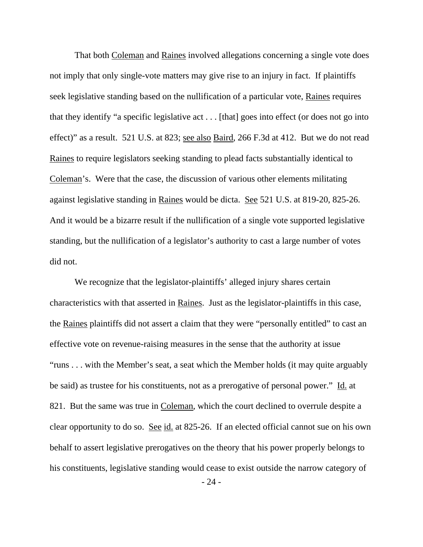That both Coleman and Raines involved allegations concerning a single vote does not imply that only single-vote matters may give rise to an injury in fact. If plaintiffs seek legislative standing based on the nullification of a particular vote, Raines requires that they identify "a specific legislative act . . . [that] goes into effect (or does not go into effect)" as a result. 521 U.S. at 823; see also Baird, 266 F.3d at 412. But we do not read Raines to require legislators seeking standing to plead facts substantially identical to Coleman's. Were that the case, the discussion of various other elements militating against legislative standing in Raines would be dicta. See 521 U.S. at 819-20, 825-26. And it would be a bizarre result if the nullification of a single vote supported legislative standing, but the nullification of a legislator's authority to cast a large number of votes did not.

We recognize that the legislator-plaintiffs' alleged injury shares certain characteristics with that asserted in Raines. Just as the legislator-plaintiffs in this case, the Raines plaintiffs did not assert a claim that they were "personally entitled" to cast an effective vote on revenue-raising measures in the sense that the authority at issue "runs . . . with the Member's seat, a seat which the Member holds (it may quite arguably be said) as trustee for his constituents, not as a prerogative of personal power." Id. at 821. But the same was true in Coleman, which the court declined to overrule despite a clear opportunity to do so. See id. at 825-26. If an elected official cannot sue on his own behalf to assert legislative prerogatives on the theory that his power properly belongs to his constituents, legislative standing would cease to exist outside the narrow category of

- 24 -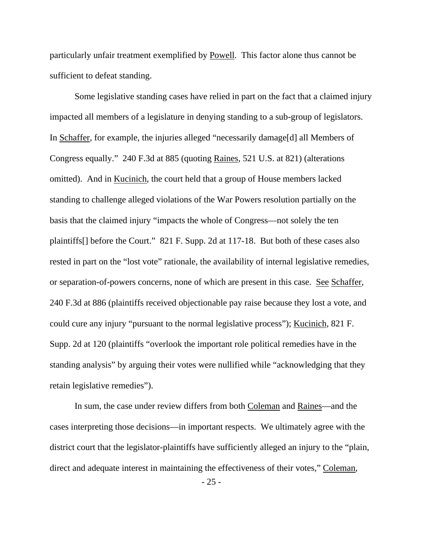particularly unfair treatment exemplified by Powell. This factor alone thus cannot be sufficient to defeat standing.

 Some legislative standing cases have relied in part on the fact that a claimed injury impacted all members of a legislature in denying standing to a sub-group of legislators. In Schaffer, for example, the injuries alleged "necessarily damage[d] all Members of Congress equally." 240 F.3d at 885 (quoting Raines, 521 U.S. at 821) (alterations omitted). And in Kucinich, the court held that a group of House members lacked standing to challenge alleged violations of the War Powers resolution partially on the basis that the claimed injury "impacts the whole of Congress—not solely the ten plaintiffs[] before the Court." 821 F. Supp. 2d at 117-18. But both of these cases also rested in part on the "lost vote" rationale, the availability of internal legislative remedies, or separation-of-powers concerns, none of which are present in this case. See Schaffer, 240 F.3d at 886 (plaintiffs received objectionable pay raise because they lost a vote, and could cure any injury "pursuant to the normal legislative process"); Kucinich, 821 F. Supp. 2d at 120 (plaintiffs "overlook the important role political remedies have in the standing analysis" by arguing their votes were nullified while "acknowledging that they retain legislative remedies").

In sum, the case under review differs from both Coleman and Raines—and the cases interpreting those decisions—in important respects. We ultimately agree with the district court that the legislator-plaintiffs have sufficiently alleged an injury to the "plain, direct and adequate interest in maintaining the effectiveness of their votes," Coleman,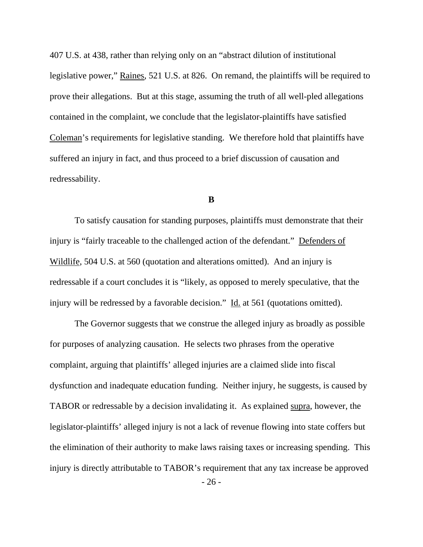407 U.S. at 438, rather than relying only on an "abstract dilution of institutional legislative power," Raines, 521 U.S. at 826. On remand, the plaintiffs will be required to prove their allegations. But at this stage, assuming the truth of all well-pled allegations contained in the complaint, we conclude that the legislator-plaintiffs have satisfied Coleman's requirements for legislative standing. We therefore hold that plaintiffs have suffered an injury in fact, and thus proceed to a brief discussion of causation and redressability.

### **B**

 To satisfy causation for standing purposes, plaintiffs must demonstrate that their injury is "fairly traceable to the challenged action of the defendant." Defenders of Wildlife, 504 U.S. at 560 (quotation and alterations omitted). And an injury is redressable if a court concludes it is "likely, as opposed to merely speculative, that the injury will be redressed by a favorable decision." Id. at 561 (quotations omitted).

 The Governor suggests that we construe the alleged injury as broadly as possible for purposes of analyzing causation. He selects two phrases from the operative complaint, arguing that plaintiffs' alleged injuries are a claimed slide into fiscal dysfunction and inadequate education funding. Neither injury, he suggests, is caused by TABOR or redressable by a decision invalidating it. As explained supra, however, the legislator-plaintiffs' alleged injury is not a lack of revenue flowing into state coffers but the elimination of their authority to make laws raising taxes or increasing spending. This injury is directly attributable to TABOR's requirement that any tax increase be approved

- 26 -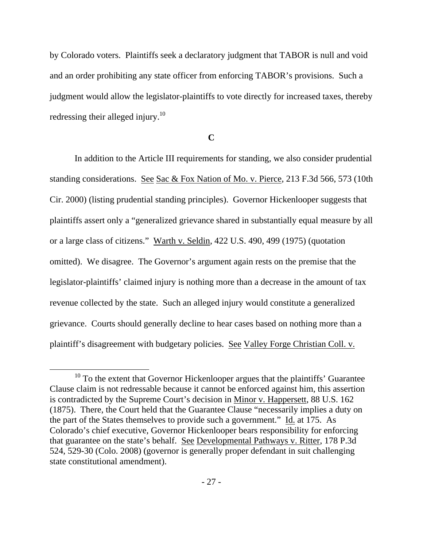by Colorado voters. Plaintiffs seek a declaratory judgment that TABOR is null and void and an order prohibiting any state officer from enforcing TABOR's provisions. Such a judgment would allow the legislator-plaintiffs to vote directly for increased taxes, thereby redressing their alleged injury.<sup>10</sup>

**C** 

In addition to the Article III requirements for standing, we also consider prudential standing considerations. See Sac & Fox Nation of Mo. v. Pierce, 213 F.3d 566, 573 (10th Cir. 2000) (listing prudential standing principles). Governor Hickenlooper suggests that plaintiffs assert only a "generalized grievance shared in substantially equal measure by all or a large class of citizens." Warth v. Seldin, 422 U.S. 490, 499 (1975) (quotation omitted). We disagree. The Governor's argument again rests on the premise that the legislator-plaintiffs' claimed injury is nothing more than a decrease in the amount of tax revenue collected by the state. Such an alleged injury would constitute a generalized grievance. Courts should generally decline to hear cases based on nothing more than a plaintiff's disagreement with budgetary policies. See Valley Forge Christian Coll. v.

<sup>&</sup>lt;sup>10</sup> To the extent that Governor Hickenlooper argues that the plaintiffs' Guarantee Clause claim is not redressable because it cannot be enforced against him, this assertion is contradicted by the Supreme Court's decision in Minor v. Happersett, 88 U.S. 162 (1875). There, the Court held that the Guarantee Clause "necessarily implies a duty on the part of the States themselves to provide such a government." Id. at 175. As Colorado's chief executive, Governor Hickenlooper bears responsibility for enforcing that guarantee on the state's behalf. See Developmental Pathways v. Ritter, 178 P.3d 524, 529-30 (Colo. 2008) (governor is generally proper defendant in suit challenging state constitutional amendment).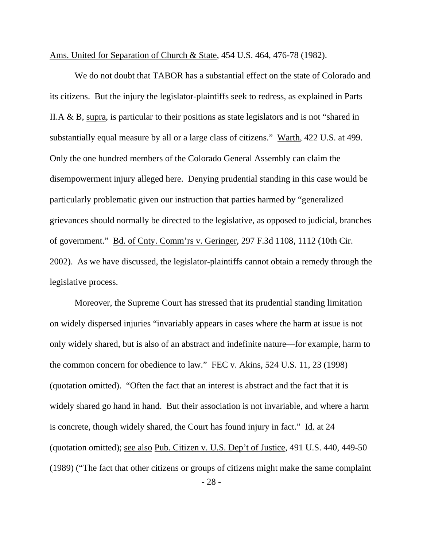Ams. United for Separation of Church & State, 454 U.S. 464, 476-78 (1982).

We do not doubt that TABOR has a substantial effect on the state of Colorado and its citizens. But the injury the legislator-plaintiffs seek to redress, as explained in Parts II.A & B, supra, is particular to their positions as state legislators and is not "shared in substantially equal measure by all or a large class of citizens." Warth, 422 U.S. at 499. Only the one hundred members of the Colorado General Assembly can claim the disempowerment injury alleged here. Denying prudential standing in this case would be particularly problematic given our instruction that parties harmed by "generalized grievances should normally be directed to the legislative, as opposed to judicial, branches of government." Bd. of Cnty. Comm'rs v. Geringer, 297 F.3d 1108, 1112 (10th Cir. 2002). As we have discussed, the legislator-plaintiffs cannot obtain a remedy through the legislative process.

- 28 - Moreover, the Supreme Court has stressed that its prudential standing limitation on widely dispersed injuries "invariably appears in cases where the harm at issue is not only widely shared, but is also of an abstract and indefinite nature—for example, harm to the common concern for obedience to law." FEC v. Akins, 524 U.S. 11, 23 (1998) (quotation omitted). "Often the fact that an interest is abstract and the fact that it is widely shared go hand in hand. But their association is not invariable, and where a harm is concrete, though widely shared, the Court has found injury in fact." Id. at 24 (quotation omitted); see also Pub. Citizen v. U.S. Dep't of Justice, 491 U.S. 440, 449-50 (1989) ("The fact that other citizens or groups of citizens might make the same complaint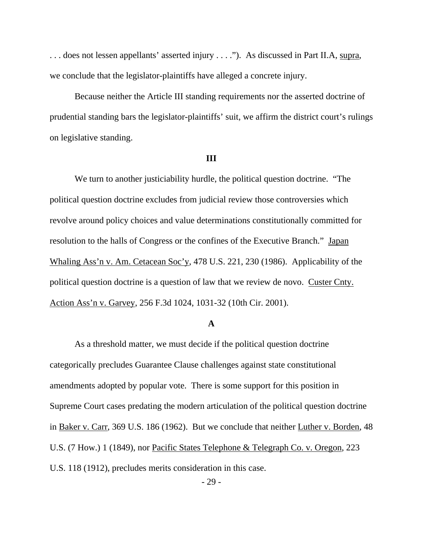. . . does not lessen appellants' asserted injury . . . ."). As discussed in Part II.A, supra, we conclude that the legislator-plaintiffs have alleged a concrete injury.

Because neither the Article III standing requirements nor the asserted doctrine of prudential standing bars the legislator-plaintiffs' suit, we affirm the district court's rulings on legislative standing.

#### **III**

 We turn to another justiciability hurdle, the political question doctrine. "The political question doctrine excludes from judicial review those controversies which revolve around policy choices and value determinations constitutionally committed for resolution to the halls of Congress or the confines of the Executive Branch." Japan Whaling Ass'n v. Am. Cetacean Soc'y, 478 U.S. 221, 230 (1986). Applicability of the political question doctrine is a question of law that we review de novo. Custer Cnty. Action Ass'n v. Garvey, 256 F.3d 1024, 1031-32 (10th Cir. 2001).

### **A**

 As a threshold matter, we must decide if the political question doctrine categorically precludes Guarantee Clause challenges against state constitutional amendments adopted by popular vote. There is some support for this position in Supreme Court cases predating the modern articulation of the political question doctrine in Baker v. Carr, 369 U.S. 186 (1962). But we conclude that neither Luther v. Borden, 48 U.S. (7 How.) 1 (1849), nor Pacific States Telephone & Telegraph Co. v. Oregon, 223 U.S. 118 (1912), precludes merits consideration in this case.

## - 29 -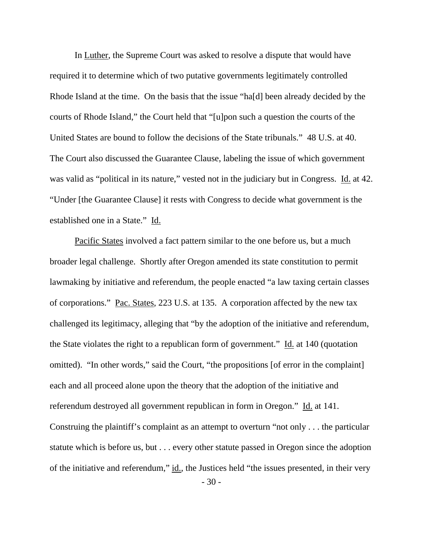In Luther, the Supreme Court was asked to resolve a dispute that would have required it to determine which of two putative governments legitimately controlled Rhode Island at the time. On the basis that the issue "ha[d] been already decided by the courts of Rhode Island," the Court held that "[u]pon such a question the courts of the United States are bound to follow the decisions of the State tribunals." 48 U.S. at 40. The Court also discussed the Guarantee Clause, labeling the issue of which government was valid as "political in its nature," vested not in the judiciary but in Congress. Id. at 42. "Under [the Guarantee Clause] it rests with Congress to decide what government is the established one in a State." Id.

 Pacific States involved a fact pattern similar to the one before us, but a much broader legal challenge. Shortly after Oregon amended its state constitution to permit lawmaking by initiative and referendum, the people enacted "a law taxing certain classes of corporations." Pac. States, 223 U.S. at 135. A corporation affected by the new tax challenged its legitimacy, alleging that "by the adoption of the initiative and referendum, the State violates the right to a republican form of government." Id. at 140 (quotation omitted). "In other words," said the Court, "the propositions [of error in the complaint] each and all proceed alone upon the theory that the adoption of the initiative and referendum destroyed all government republican in form in Oregon." Id. at 141. Construing the plaintiff's complaint as an attempt to overturn "not only . . . the particular statute which is before us, but . . . every other statute passed in Oregon since the adoption of the initiative and referendum," id., the Justices held "the issues presented, in their very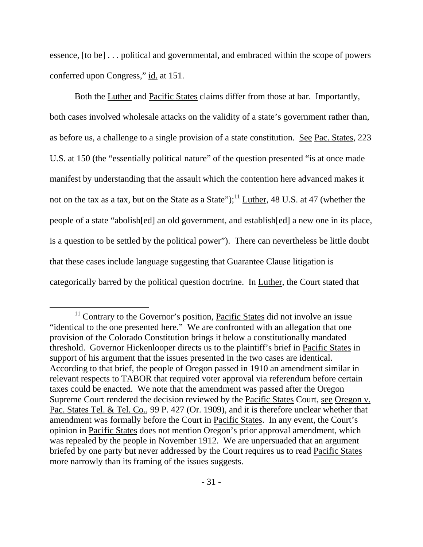essence, [to be] . . . political and governmental, and embraced within the scope of powers conferred upon Congress," id. at 151.

 Both the Luther and Pacific States claims differ from those at bar. Importantly, both cases involved wholesale attacks on the validity of a state's government rather than, as before us, a challenge to a single provision of a state constitution. See Pac. States, 223 U.S. at 150 (the "essentially political nature" of the question presented "is at once made manifest by understanding that the assault which the contention here advanced makes it not on the tax as a tax, but on the State as a State");  $^{11}$  Luther, 48 U.S. at 47 (whether the people of a state "abolish[ed] an old government, and establish[ed] a new one in its place, is a question to be settled by the political power"). There can nevertheless be little doubt that these cases include language suggesting that Guarantee Clause litigation is categorically barred by the political question doctrine. In Luther, the Court stated that

 $11$  Contrary to the Governor's position, Pacific States did not involve an issue "identical to the one presented here." We are confronted with an allegation that one provision of the Colorado Constitution brings it below a constitutionally mandated threshold. Governor Hickenlooper directs us to the plaintiff's brief in Pacific States in support of his argument that the issues presented in the two cases are identical. According to that brief, the people of Oregon passed in 1910 an amendment similar in relevant respects to TABOR that required voter approval via referendum before certain taxes could be enacted. We note that the amendment was passed after the Oregon Supreme Court rendered the decision reviewed by the Pacific States Court, see Oregon v. Pac. States Tel. & Tel. Co., 99 P. 427 (Or. 1909), and it is therefore unclear whether that amendment was formally before the Court in Pacific States. In any event, the Court's opinion in Pacific States does not mention Oregon's prior approval amendment, which was repealed by the people in November 1912. We are unpersuaded that an argument briefed by one party but never addressed by the Court requires us to read Pacific States more narrowly than its framing of the issues suggests.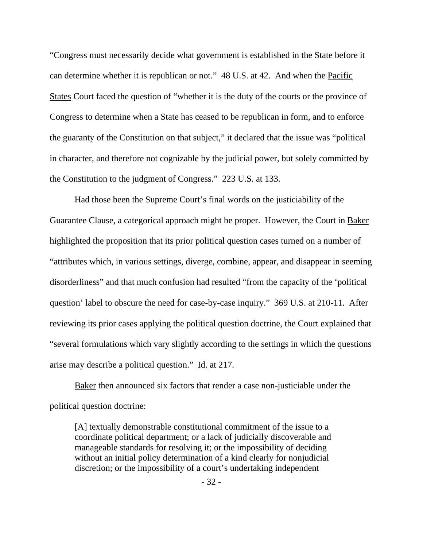"Congress must necessarily decide what government is established in the State before it can determine whether it is republican or not." 48 U.S. at 42. And when the Pacific States Court faced the question of "whether it is the duty of the courts or the province of Congress to determine when a State has ceased to be republican in form, and to enforce the guaranty of the Constitution on that subject," it declared that the issue was "political in character, and therefore not cognizable by the judicial power, but solely committed by the Constitution to the judgment of Congress." 223 U.S. at 133.

 Had those been the Supreme Court's final words on the justiciability of the Guarantee Clause, a categorical approach might be proper. However, the Court in Baker highlighted the proposition that its prior political question cases turned on a number of "attributes which, in various settings, diverge, combine, appear, and disappear in seeming disorderliness" and that much confusion had resulted "from the capacity of the 'political question' label to obscure the need for case-by-case inquiry." 369 U.S. at 210-11. After reviewing its prior cases applying the political question doctrine, the Court explained that "several formulations which vary slightly according to the settings in which the questions arise may describe a political question." Id. at 217.

 Baker then announced six factors that render a case non-justiciable under the political question doctrine:

[A] textually demonstrable constitutional commitment of the issue to a coordinate political department; or a lack of judicially discoverable and manageable standards for resolving it; or the impossibility of deciding without an initial policy determination of a kind clearly for nonjudicial discretion; or the impossibility of a court's undertaking independent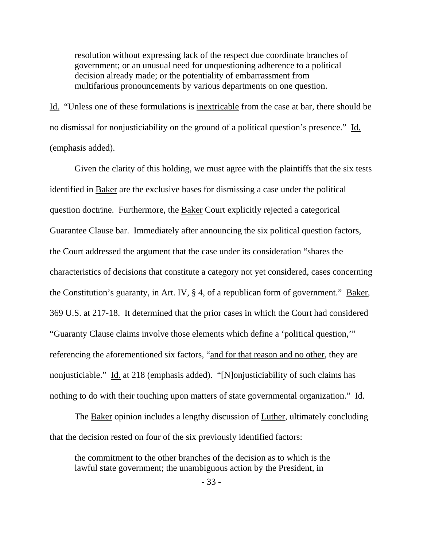resolution without expressing lack of the respect due coordinate branches of government; or an unusual need for unquestioning adherence to a political decision already made; or the potentiality of embarrassment from multifarious pronouncements by various departments on one question.

Id. "Unless one of these formulations is inextricable from the case at bar, there should be no dismissal for nonjusticiability on the ground of a political question's presence." Id. (emphasis added).

 Given the clarity of this holding, we must agree with the plaintiffs that the six tests identified in Baker are the exclusive bases for dismissing a case under the political question doctrine. Furthermore, the Baker Court explicitly rejected a categorical Guarantee Clause bar. Immediately after announcing the six political question factors, the Court addressed the argument that the case under its consideration "shares the characteristics of decisions that constitute a category not yet considered, cases concerning the Constitution's guaranty, in Art. IV, § 4, of a republican form of government." Baker, 369 U.S. at 217-18. It determined that the prior cases in which the Court had considered "Guaranty Clause claims involve those elements which define a 'political question,'" referencing the aforementioned six factors, "and for that reason and no other, they are nonjusticiable." Id. at 218 (emphasis added). "[N]onjusticiability of such claims has nothing to do with their touching upon matters of state governmental organization." Id.

The **Baker** opinion includes a lengthy discussion of **Luther**, ultimately concluding that the decision rested on four of the six previously identified factors:

the commitment to the other branches of the decision as to which is the lawful state government; the unambiguous action by the President, in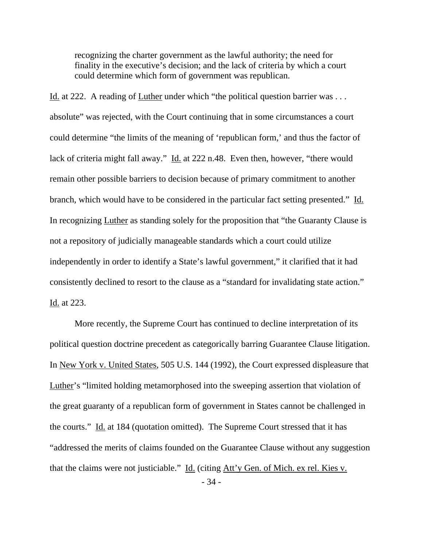recognizing the charter government as the lawful authority; the need for finality in the executive's decision; and the lack of criteria by which a court could determine which form of government was republican.

Id. at 222. A reading of Luther under which "the political question barrier was . . . absolute" was rejected, with the Court continuing that in some circumstances a court could determine "the limits of the meaning of 'republican form,' and thus the factor of lack of criteria might fall away." Id. at 222 n.48. Even then, however, "there would remain other possible barriers to decision because of primary commitment to another branch, which would have to be considered in the particular fact setting presented." Id. In recognizing Luther as standing solely for the proposition that "the Guaranty Clause is not a repository of judicially manageable standards which a court could utilize independently in order to identify a State's lawful government," it clarified that it had consistently declined to resort to the clause as a "standard for invalidating state action." Id. at 223.

 More recently, the Supreme Court has continued to decline interpretation of its political question doctrine precedent as categorically barring Guarantee Clause litigation. In New York v. United States, 505 U.S. 144 (1992), the Court expressed displeasure that Luther's "limited holding metamorphosed into the sweeping assertion that violation of the great guaranty of a republican form of government in States cannot be challenged in the courts." Id. at 184 (quotation omitted). The Supreme Court stressed that it has "addressed the merits of claims founded on the Guarantee Clause without any suggestion that the claims were not justiciable." Id. (citing Att'y Gen. of Mich. ex rel. Kies v.

- 34 -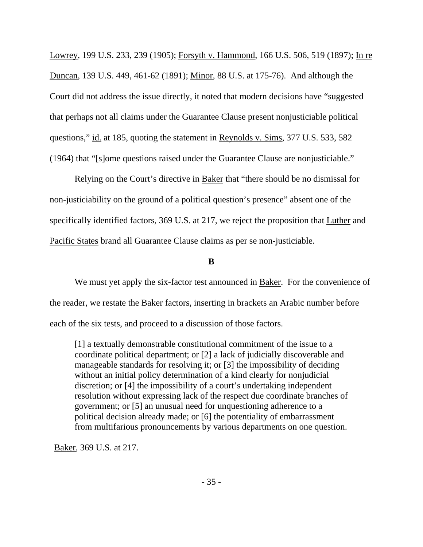Lowrey, 199 U.S. 233, 239 (1905); Forsyth v. Hammond, 166 U.S. 506, 519 (1897); In re Duncan, 139 U.S. 449, 461-62 (1891); Minor, 88 U.S. at 175-76). And although the Court did not address the issue directly, it noted that modern decisions have "suggested that perhaps not all claims under the Guarantee Clause present nonjusticiable political questions," id. at 185, quoting the statement in Reynolds v. Sims, 377 U.S. 533, 582 (1964) that "[s]ome questions raised under the Guarantee Clause are nonjusticiable."

 Relying on the Court's directive in Baker that "there should be no dismissal for non-justiciability on the ground of a political question's presence" absent one of the specifically identified factors, 369 U.S. at 217, we reject the proposition that Luther and Pacific States brand all Guarantee Clause claims as per se non-justiciable.

## **B**

We must yet apply the six-factor test announced in Baker. For the convenience of the reader, we restate the Baker factors, inserting in brackets an Arabic number before each of the six tests, and proceed to a discussion of those factors.

[1] a textually demonstrable constitutional commitment of the issue to a coordinate political department; or [2] a lack of judicially discoverable and manageable standards for resolving it; or [3] the impossibility of deciding without an initial policy determination of a kind clearly for nonjudicial discretion; or [4] the impossibility of a court's undertaking independent resolution without expressing lack of the respect due coordinate branches of government; or [5] an unusual need for unquestioning adherence to a political decision already made; or [6] the potentiality of embarrassment from multifarious pronouncements by various departments on one question.

Baker, 369 U.S. at 217.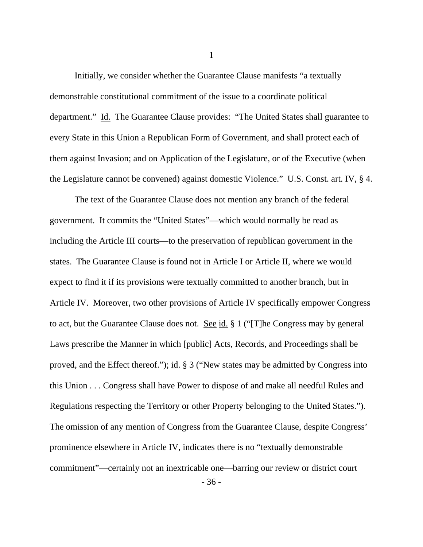Initially, we consider whether the Guarantee Clause manifests "a textually demonstrable constitutional commitment of the issue to a coordinate political department." Id. The Guarantee Clause provides: "The United States shall guarantee to every State in this Union a Republican Form of Government, and shall protect each of them against Invasion; and on Application of the Legislature, or of the Executive (when the Legislature cannot be convened) against domestic Violence." U.S. Const. art. IV, § 4.

 The text of the Guarantee Clause does not mention any branch of the federal government. It commits the "United States"—which would normally be read as including the Article III courts—to the preservation of republican government in the states. The Guarantee Clause is found not in Article I or Article II, where we would expect to find it if its provisions were textually committed to another branch, but in Article IV. Moreover, two other provisions of Article IV specifically empower Congress to act, but the Guarantee Clause does not. See id. § 1 ("[T]he Congress may by general Laws prescribe the Manner in which [public] Acts, Records, and Proceedings shall be proved, and the Effect thereof."); id. § 3 ("New states may be admitted by Congress into this Union . . . Congress shall have Power to dispose of and make all needful Rules and Regulations respecting the Territory or other Property belonging to the United States."). The omission of any mention of Congress from the Guarantee Clause, despite Congress' prominence elsewhere in Article IV, indicates there is no "textually demonstrable commitment"—certainly not an inextricable one—barring our review or district court

**1** 

- 36 -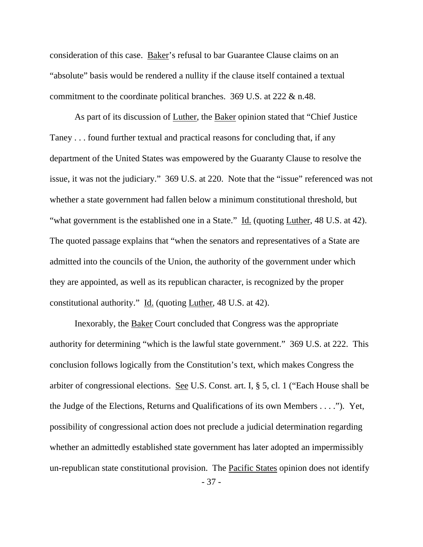consideration of this case. Baker's refusal to bar Guarantee Clause claims on an "absolute" basis would be rendered a nullity if the clause itself contained a textual commitment to the coordinate political branches. 369 U.S. at 222 & n.48.

As part of its discussion of Luther, the Baker opinion stated that "Chief Justice Taney . . . found further textual and practical reasons for concluding that, if any department of the United States was empowered by the Guaranty Clause to resolve the issue, it was not the judiciary." 369 U.S. at 220. Note that the "issue" referenced was not whether a state government had fallen below a minimum constitutional threshold, but "what government is the established one in a State." Id. (quoting Luther, 48 U.S. at 42). The quoted passage explains that "when the senators and representatives of a State are admitted into the councils of the Union, the authority of the government under which they are appointed, as well as its republican character, is recognized by the proper constitutional authority." Id. (quoting Luther, 48 U.S. at 42).

 Inexorably, the Baker Court concluded that Congress was the appropriate authority for determining "which is the lawful state government." 369 U.S. at 222. This conclusion follows logically from the Constitution's text, which makes Congress the arbiter of congressional elections. See U.S. Const. art. I, § 5, cl. 1 ("Each House shall be the Judge of the Elections, Returns and Qualifications of its own Members . . . ."). Yet, possibility of congressional action does not preclude a judicial determination regarding whether an admittedly established state government has later adopted an impermissibly un-republican state constitutional provision. The Pacific States opinion does not identify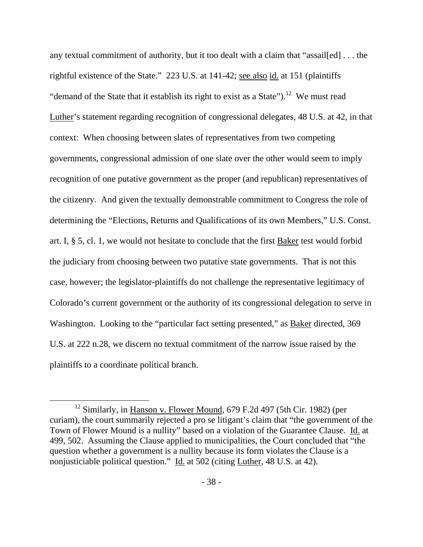any textual commitment of authority, but it too dealt with a claim that "assail[ed] ... the rightful existence of the State." 223 U.S. at 141-42; see also id. at 151 (plaintiffs "demand of the State that it establish its right to exist as a State").<sup>12</sup> We must read Luther's statement regarding recognition of congressional delegates, 48 U.S. at 42, in that context: When choosing between slates of representatives from two competing governments, congressional admission of one slate over the other would seem to imply recognition of one putative government as the proper (and republican) representatives of the citizenry. And given the textually demonstrable commitment to Congress the role of determining the "Elections, Returns and Qualifications of its own Members," U.S. Const. art. I, § 5, cl. 1, we would not hesitate to conclude that the first Baker test would forbid the judiciary from choosing between two putative state governments. That is not this case, however; the legislator-plaintiffs do not challenge the representative legitimacy of Colorado's current government or the authority of its congressional delegation to serve in Washington. Looking to the "particular fact setting presented," as Baker directed, 369 U.S. at 222 n.28, we discern no textual commitment of the narrow issue raised by the plaintiffs to a coordinate political branch.

<sup>&</sup>lt;sup>12</sup> Similarly, in **Hanson v. Flower Mound**, 679 F.2d 497 (5th Cir. 1982) (per curiam), the court summarily rejected a pro se litigant's claim that "the government of the Town of Flower Mound is a nullity" based on a violation of the Guarantee Clause. Id. at 499, 502. Assuming the Clause applied to municipalities, the Court concluded that "the question whether a government is a nullity because its form violates the Clause is a nonjusticiable political question." Id. at 502 (citing Luther, 48 U.S. at 42).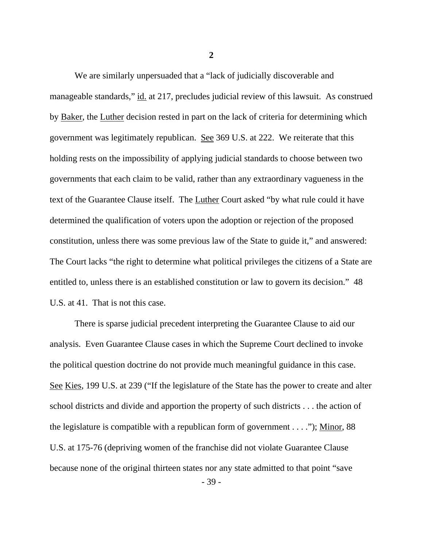We are similarly unpersuaded that a "lack of judicially discoverable and manageable standards," id. at 217, precludes judicial review of this lawsuit. As construed by Baker, the Luther decision rested in part on the lack of criteria for determining which government was legitimately republican. See 369 U.S. at 222. We reiterate that this holding rests on the impossibility of applying judicial standards to choose between two governments that each claim to be valid, rather than any extraordinary vagueness in the text of the Guarantee Clause itself. The Luther Court asked "by what rule could it have determined the qualification of voters upon the adoption or rejection of the proposed constitution, unless there was some previous law of the State to guide it," and answered: The Court lacks "the right to determine what political privileges the citizens of a State are entitled to, unless there is an established constitution or law to govern its decision." 48 U.S. at 41. That is not this case.

 There is sparse judicial precedent interpreting the Guarantee Clause to aid our analysis. Even Guarantee Clause cases in which the Supreme Court declined to invoke the political question doctrine do not provide much meaningful guidance in this case. See Kies, 199 U.S. at 239 ("If the legislature of the State has the power to create and alter school districts and divide and apportion the property of such districts . . . the action of the legislature is compatible with a republican form of government . . . ."); Minor, 88 U.S. at 175-76 (depriving women of the franchise did not violate Guarantee Clause because none of the original thirteen states nor any state admitted to that point "save

- 39 -

**2**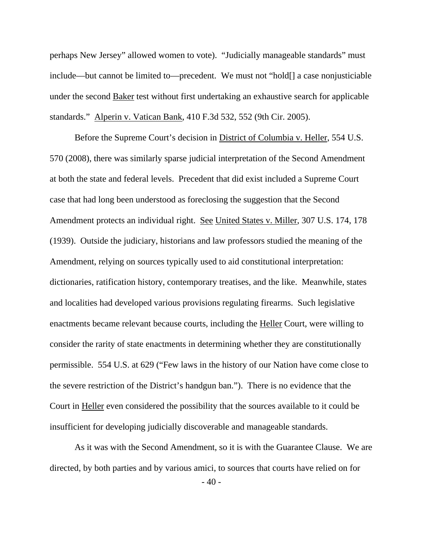perhaps New Jersey" allowed women to vote). "Judicially manageable standards" must include—but cannot be limited to—precedent. We must not "hold[] a case nonjusticiable under the second Baker test without first undertaking an exhaustive search for applicable standards." Alperin v. Vatican Bank, 410 F.3d 532, 552 (9th Cir. 2005).

 Before the Supreme Court's decision in District of Columbia v. Heller, 554 U.S. 570 (2008), there was similarly sparse judicial interpretation of the Second Amendment at both the state and federal levels. Precedent that did exist included a Supreme Court case that had long been understood as foreclosing the suggestion that the Second Amendment protects an individual right. See United States v. Miller, 307 U.S. 174, 178 (1939). Outside the judiciary, historians and law professors studied the meaning of the Amendment, relying on sources typically used to aid constitutional interpretation: dictionaries, ratification history, contemporary treatises, and the like. Meanwhile, states and localities had developed various provisions regulating firearms. Such legislative enactments became relevant because courts, including the Heller Court, were willing to consider the rarity of state enactments in determining whether they are constitutionally permissible. 554 U.S. at 629 ("Few laws in the history of our Nation have come close to the severe restriction of the District's handgun ban."). There is no evidence that the Court in Heller even considered the possibility that the sources available to it could be insufficient for developing judicially discoverable and manageable standards.

 As it was with the Second Amendment, so it is with the Guarantee Clause. We are directed, by both parties and by various amici, to sources that courts have relied on for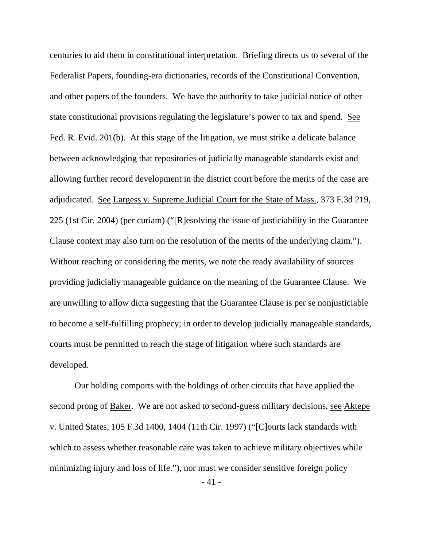centuries to aid them in constitutional interpretation. Briefing directs us to several of the Federalist Papers, founding-era dictionaries, records of the Constitutional Convention, and other papers of the founders. We have the authority to take judicial notice of other state constitutional provisions regulating the legislature's power to tax and spend. See Fed. R. Evid. 201(b). At this stage of the litigation, we must strike a delicate balance between acknowledging that repositories of judicially manageable standards exist and allowing further record development in the district court before the merits of the case are adjudicated. See Largess v. Supreme Judicial Court for the State of Mass., 373 F.3d 219, 225 (1st Cir. 2004) (per curiam) ("[R]esolving the issue of justiciability in the Guarantee Clause context may also turn on the resolution of the merits of the underlying claim."). Without reaching or considering the merits, we note the ready availability of sources providing judicially manageable guidance on the meaning of the Guarantee Clause. We are unwilling to allow dicta suggesting that the Guarantee Clause is per se nonjusticiable to become a self-fulfilling prophecy; in order to develop judicially manageable standards, courts must be permitted to reach the stage of litigation where such standards are developed.

 Our holding comports with the holdings of other circuits that have applied the second prong of Baker. We are not asked to second-guess military decisions, see Aktepe v. United States, 105 F.3d 1400, 1404 (11th Cir. 1997) ("[C]ourts lack standards with which to assess whether reasonable care was taken to achieve military objectives while minimizing injury and loss of life."), nor must we consider sensitive foreign policy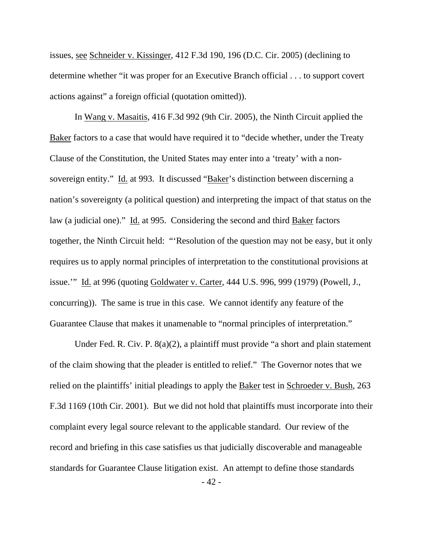issues, see Schneider v. Kissinger, 412 F.3d 190, 196 (D.C. Cir. 2005) (declining to determine whether "it was proper for an Executive Branch official . . . to support covert actions against" a foreign official (quotation omitted)).

 In Wang v. Masaitis, 416 F.3d 992 (9th Cir. 2005), the Ninth Circuit applied the Baker factors to a case that would have required it to "decide whether, under the Treaty Clause of the Constitution, the United States may enter into a 'treaty' with a nonsovereign entity." Id. at 993. It discussed "Baker's distinction between discerning a nation's sovereignty (a political question) and interpreting the impact of that status on the law (a judicial one)." Id. at 995. Considering the second and third Baker factors together, the Ninth Circuit held: "'Resolution of the question may not be easy, but it only requires us to apply normal principles of interpretation to the constitutional provisions at issue.'" Id. at 996 (quoting Goldwater v. Carter, 444 U.S. 996, 999 (1979) (Powell, J., concurring)). The same is true in this case. We cannot identify any feature of the Guarantee Clause that makes it unamenable to "normal principles of interpretation."

 Under Fed. R. Civ. P. 8(a)(2), a plaintiff must provide "a short and plain statement of the claim showing that the pleader is entitled to relief." The Governor notes that we relied on the plaintiffs' initial pleadings to apply the Baker test in Schroeder v. Bush, 263 F.3d 1169 (10th Cir. 2001). But we did not hold that plaintiffs must incorporate into their complaint every legal source relevant to the applicable standard. Our review of the record and briefing in this case satisfies us that judicially discoverable and manageable standards for Guarantee Clause litigation exist. An attempt to define those standards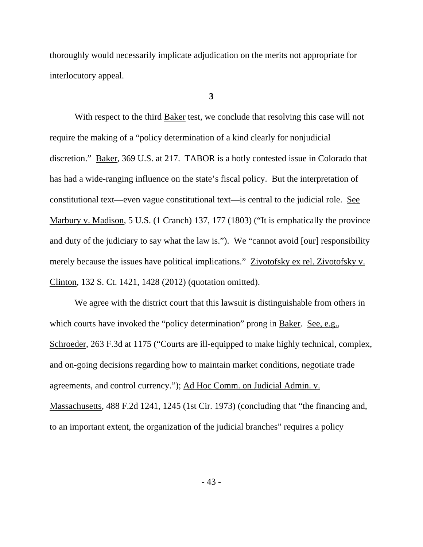thoroughly would necessarily implicate adjudication on the merits not appropriate for interlocutory appeal.

**3** 

With respect to the third **Baker** test, we conclude that resolving this case will not require the making of a "policy determination of a kind clearly for nonjudicial discretion." Baker, 369 U.S. at 217. TABOR is a hotly contested issue in Colorado that has had a wide-ranging influence on the state's fiscal policy. But the interpretation of constitutional text—even vague constitutional text—is central to the judicial role. See Marbury v. Madison, 5 U.S. (1 Cranch) 137, 177 (1803) ("It is emphatically the province and duty of the judiciary to say what the law is."). We "cannot avoid [our] responsibility merely because the issues have political implications." Zivotofsky ex rel. Zivotofsky v. Clinton, 132 S. Ct. 1421, 1428 (2012) (quotation omitted).

 We agree with the district court that this lawsuit is distinguishable from others in which courts have invoked the "policy determination" prong in Baker. See, e.g., Schroeder, 263 F.3d at 1175 ("Courts are ill-equipped to make highly technical, complex, and on-going decisions regarding how to maintain market conditions, negotiate trade agreements, and control currency."); Ad Hoc Comm. on Judicial Admin. v. Massachusetts, 488 F.2d 1241, 1245 (1st Cir. 1973) (concluding that "the financing and, to an important extent, the organization of the judicial branches" requires a policy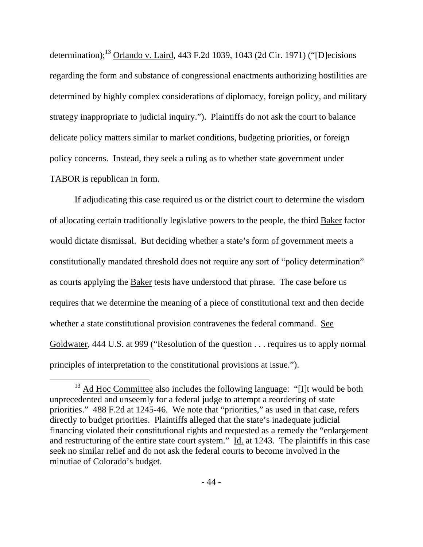determination);13 Orlando v. Laird, 443 F.2d 1039, 1043 (2d Cir. 1971) ("[D]ecisions regarding the form and substance of congressional enactments authorizing hostilities are determined by highly complex considerations of diplomacy, foreign policy, and military strategy inappropriate to judicial inquiry."). Plaintiffs do not ask the court to balance delicate policy matters similar to market conditions, budgeting priorities, or foreign policy concerns. Instead, they seek a ruling as to whether state government under TABOR is republican in form.

 If adjudicating this case required us or the district court to determine the wisdom of allocating certain traditionally legislative powers to the people, the third Baker factor would dictate dismissal. But deciding whether a state's form of government meets a constitutionally mandated threshold does not require any sort of "policy determination" as courts applying the Baker tests have understood that phrase. The case before us requires that we determine the meaning of a piece of constitutional text and then decide whether a state constitutional provision contravenes the federal command. See Goldwater, 444 U.S. at 999 ("Resolution of the question . . . requires us to apply normal principles of interpretation to the constitutional provisions at issue.").

 $13$  Ad Hoc Committee also includes the following language: "[I]t would be both unprecedented and unseemly for a federal judge to attempt a reordering of state priorities." 488 F.2d at 1245-46. We note that "priorities," as used in that case, refers directly to budget priorities. Plaintiffs alleged that the state's inadequate judicial financing violated their constitutional rights and requested as a remedy the "enlargement and restructuring of the entire state court system." Id. at 1243. The plaintiffs in this case seek no similar relief and do not ask the federal courts to become involved in the minutiae of Colorado's budget.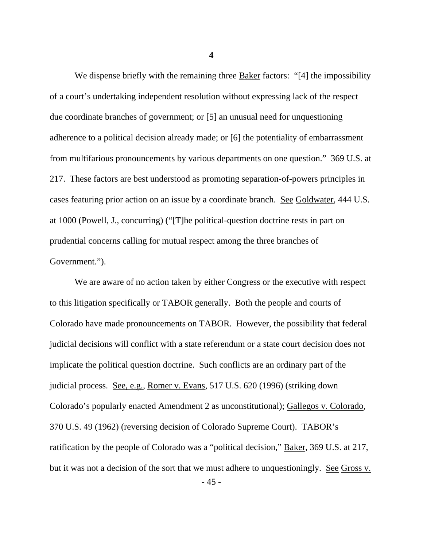We dispense briefly with the remaining three  $\frac{Baker}{A}$  factors: "[4] the impossibility of a court's undertaking independent resolution without expressing lack of the respect due coordinate branches of government; or [5] an unusual need for unquestioning adherence to a political decision already made; or [6] the potentiality of embarrassment from multifarious pronouncements by various departments on one question." 369 U.S. at 217. These factors are best understood as promoting separation-of-powers principles in cases featuring prior action on an issue by a coordinate branch. See Goldwater, 444 U.S. at 1000 (Powell, J., concurring) ("[T]he political-question doctrine rests in part on prudential concerns calling for mutual respect among the three branches of Government.").

 We are aware of no action taken by either Congress or the executive with respect to this litigation specifically or TABOR generally. Both the people and courts of Colorado have made pronouncements on TABOR. However, the possibility that federal judicial decisions will conflict with a state referendum or a state court decision does not implicate the political question doctrine. Such conflicts are an ordinary part of the judicial process. See, e.g., Romer v. Evans, 517 U.S. 620 (1996) (striking down Colorado's popularly enacted Amendment 2 as unconstitutional); Gallegos v. Colorado, 370 U.S. 49 (1962) (reversing decision of Colorado Supreme Court). TABOR's ratification by the people of Colorado was a "political decision," Baker, 369 U.S. at 217, but it was not a decision of the sort that we must adhere to unquestioningly. See Gross v.

- 45 -

**4**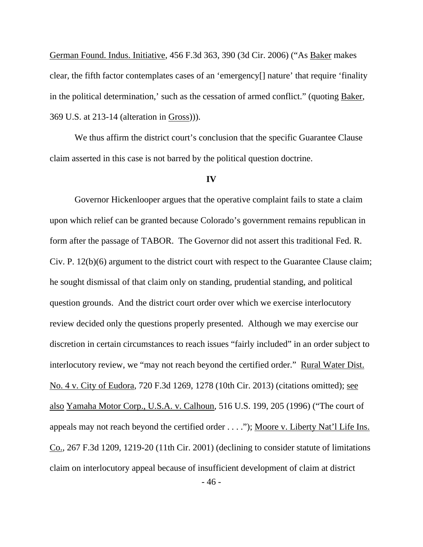German Found. Indus. Initiative, 456 F.3d 363, 390 (3d Cir. 2006) ("As Baker makes clear, the fifth factor contemplates cases of an 'emergency[] nature' that require 'finality in the political determination,' such as the cessation of armed conflict." (quoting Baker, 369 U.S. at 213-14 (alteration in Gross))).

We thus affirm the district court's conclusion that the specific Guarantee Clause claim asserted in this case is not barred by the political question doctrine.

## **IV**

 Governor Hickenlooper argues that the operative complaint fails to state a claim upon which relief can be granted because Colorado's government remains republican in form after the passage of TABOR. The Governor did not assert this traditional Fed. R. Civ. P. 12(b)(6) argument to the district court with respect to the Guarantee Clause claim; he sought dismissal of that claim only on standing, prudential standing, and political question grounds. And the district court order over which we exercise interlocutory review decided only the questions properly presented. Although we may exercise our discretion in certain circumstances to reach issues "fairly included" in an order subject to interlocutory review, we "may not reach beyond the certified order." Rural Water Dist. No. 4 v. City of Eudora, 720 F.3d 1269, 1278 (10th Cir. 2013) (citations omitted); see also Yamaha Motor Corp., U.S.A. v. Calhoun, 516 U.S. 199, 205 (1996) ("The court of appeals may not reach beyond the certified order . . . ."); Moore v. Liberty Nat'l Life Ins. Co., 267 F.3d 1209, 1219-20 (11th Cir. 2001) (declining to consider statute of limitations claim on interlocutory appeal because of insufficient development of claim at district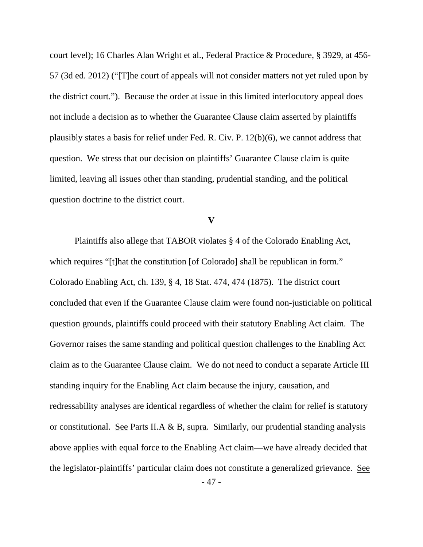court level); 16 Charles Alan Wright et al., Federal Practice & Procedure, § 3929, at 456- 57 (3d ed. 2012) ("[T]he court of appeals will not consider matters not yet ruled upon by the district court."). Because the order at issue in this limited interlocutory appeal does not include a decision as to whether the Guarantee Clause claim asserted by plaintiffs plausibly states a basis for relief under Fed. R. Civ. P. 12(b)(6), we cannot address that question. We stress that our decision on plaintiffs' Guarantee Clause claim is quite limited, leaving all issues other than standing, prudential standing, and the political question doctrine to the district court.

### **V**

Plaintiffs also allege that TABOR violates § 4 of the Colorado Enabling Act, which requires "[t]hat the constitution [of Colorado] shall be republican in form." Colorado Enabling Act, ch. 139, § 4, 18 Stat. 474, 474 (1875). The district court concluded that even if the Guarantee Clause claim were found non-justiciable on political question grounds, plaintiffs could proceed with their statutory Enabling Act claim. The Governor raises the same standing and political question challenges to the Enabling Act claim as to the Guarantee Clause claim. We do not need to conduct a separate Article III standing inquiry for the Enabling Act claim because the injury, causation, and redressability analyses are identical regardless of whether the claim for relief is statutory or constitutional. See Parts II.A & B, supra. Similarly, our prudential standing analysis above applies with equal force to the Enabling Act claim—we have already decided that the legislator-plaintiffs' particular claim does not constitute a generalized grievance. See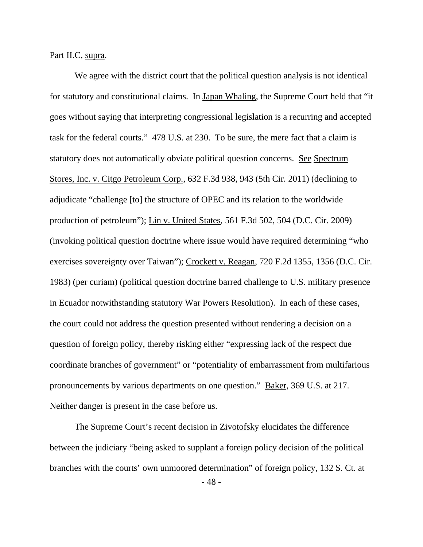Part II.C, supra.

 We agree with the district court that the political question analysis is not identical for statutory and constitutional claims. In Japan Whaling, the Supreme Court held that "it goes without saying that interpreting congressional legislation is a recurring and accepted task for the federal courts." 478 U.S. at 230. To be sure, the mere fact that a claim is statutory does not automatically obviate political question concerns. See Spectrum Stores, Inc. v. Citgo Petroleum Corp., 632 F.3d 938, 943 (5th Cir. 2011) (declining to adjudicate "challenge [to] the structure of OPEC and its relation to the worldwide production of petroleum"); Lin v. United States, 561 F.3d 502, 504 (D.C. Cir. 2009) (invoking political question doctrine where issue would have required determining "who exercises sovereignty over Taiwan"); Crockett v. Reagan, 720 F.2d 1355, 1356 (D.C. Cir. 1983) (per curiam) (political question doctrine barred challenge to U.S. military presence in Ecuador notwithstanding statutory War Powers Resolution). In each of these cases, the court could not address the question presented without rendering a decision on a question of foreign policy, thereby risking either "expressing lack of the respect due coordinate branches of government" or "potentiality of embarrassment from multifarious pronouncements by various departments on one question." Baker, 369 U.S. at 217. Neither danger is present in the case before us.

 The Supreme Court's recent decision in Zivotofsky elucidates the difference between the judiciary "being asked to supplant a foreign policy decision of the political branches with the courts' own unmoored determination" of foreign policy, 132 S. Ct. at